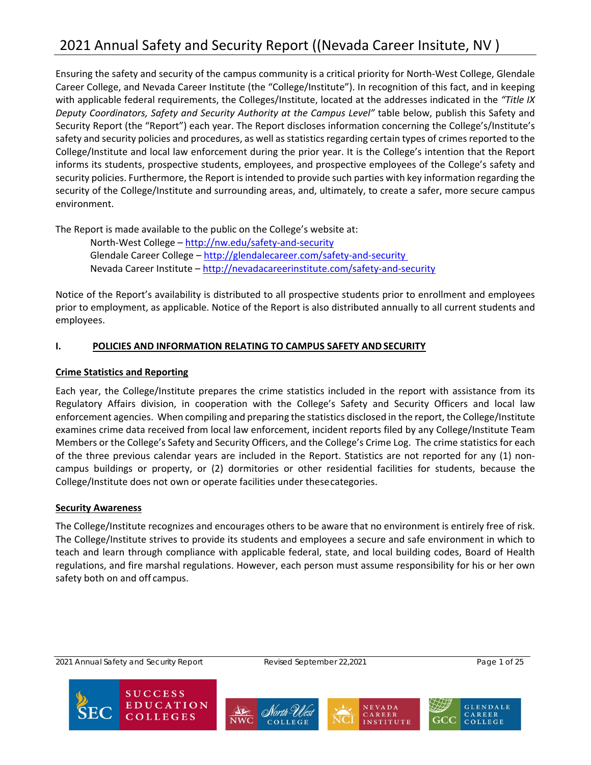Ensuring the safety and security of the campus community is a critical priority for North-West College, Glendale Career College, and Nevada Career Institute (the "College/Institute"). In recognition of this fact, and in keeping with applicable federal requirements, the Colleges/Institute, located at the addresses indicated in the *"Title IX Deputy Coordinators, Safety and Security Authority at the Campus Level"* table below, publish this Safety and Security Report (the "Report") each year. The Report discloses information concerning the College's/Institute's safety and security policies and procedures, as well as statistics regarding certain types of crimes reported to the College/Institute and local law enforcement during the prior year. It is the College's intention that the Report informs its students, prospective students, employees, and prospective employees of the College's safety and security policies. Furthermore, the Report is intended to provide such parties with key information regarding the security of the College/Institute and surrounding areas, and, ultimately, to create a safer, more secure campus environment.

The Report is made available to the public on the College's website at:

North-West College - <http://nw.edu/safety-and-security> Glendale Career College – <http://glendalecareer.com/safety-and-security> Nevada Career Institute – <http://nevadacareerinstitute.com/safety-and-security>

Notice of the Report's availability is distributed to all prospective students prior to enrollment and employees prior to employment, as applicable. Notice of the Report is also distributed annually to all current students and employees.

# **I. POLICIES AND INFORMATION RELATING TO CAMPUS SAFETY ANDSECURITY**

# **Crime Statistics and Reporting**

Each year, the College/Institute prepares the crime statistics included in the report with assistance from its Regulatory Affairs division, in cooperation with the College's Safety and Security Officers and local law enforcement agencies. When compiling and preparing the statistics disclosed in the report, the College/Institute examines crime data received from local law enforcement, incident reports filed by any College/Institute Team Members or the College's Safety and Security Officers, and the College's Crime Log. The crime statistics for each of the three previous calendar years are included in the Report. Statistics are not reported for any (1) noncampus buildings or property, or (2) dormitories or other residential facilities for students, because the College/Institute does not own or operate facilities under thesecategories.

# **Security Awareness**

The College/Institute recognizes and encourages others to be aware that no environment is entirely free of risk. The College/Institute strives to provide its students and employees a secure and safe environment in which to teach and learn through compliance with applicable federal, state, and local building codes, Board of Health regulations, and fire marshal regulations. However, each person must assume responsibility for his or her own safety both on and off campus.

2021 Annual Safety and Security Report **Revised September 22,2021** Page 1 of 25







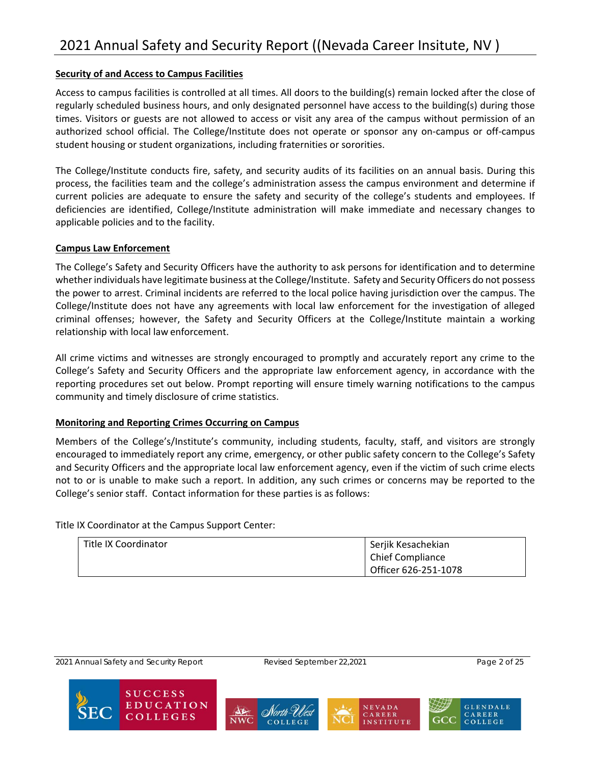## **Security of and Access to Campus Facilities**

Access to campus facilities is controlled at all times. All doors to the building(s) remain locked after the close of regularly scheduled business hours, and only designated personnel have access to the building(s) during those times. Visitors or guests are not allowed to access or visit any area of the campus without permission of an authorized school official. The College/Institute does not operate or sponsor any on-campus or off-campus student housing or student organizations, including fraternities or sororities.

The College/Institute conducts fire, safety, and security audits of its facilities on an annual basis. During this process, the facilities team and the college's administration assess the campus environment and determine if current policies are adequate to ensure the safety and security of the college's students and employees. If deficiencies are identified, College/Institute administration will make immediate and necessary changes to applicable policies and to the facility.

### **Campus Law Enforcement**

The College's Safety and Security Officers have the authority to ask persons for identification and to determine whether individuals have legitimate business at the College/Institute. Safety and Security Officers do not possess the power to arrest. Criminal incidents are referred to the local police having jurisdiction over the campus. The College/Institute does not have any agreements with local law enforcement for the investigation of alleged criminal offenses; however, the Safety and Security Officers at the College/Institute maintain a working relationship with local law enforcement.

All crime victims and witnesses are strongly encouraged to promptly and accurately report any crime to the College's Safety and Security Officers and the appropriate law enforcement agency, in accordance with the reporting procedures set out below. Prompt reporting will ensure timely warning notifications to the campus community and timely disclosure of crime statistics.

### **Monitoring and Reporting Crimes Occurring on Campus**

Members of the College's/Institute's community, including students, faculty, staff, and visitors are strongly encouraged to immediately report any crime, emergency, or other public safety concern to the College's Safety and Security Officers and the appropriate local law enforcement agency, even if the victim of such crime elects not to or is unable to make such a report. In addition, any such crimes or concerns may be reported to the College's senior staff. Contact information for these parties is as follows:

Title IX Coordinator at the Campus Support Center:

| Title IX Coordinator | Serjik Kesachekian      |
|----------------------|-------------------------|
|                      | <b>Chief Compliance</b> |
|                      | Officer 626-251-1078    |

2021 Annual Safety and Security Report **Revised September 22,2021** Page 2 of 25

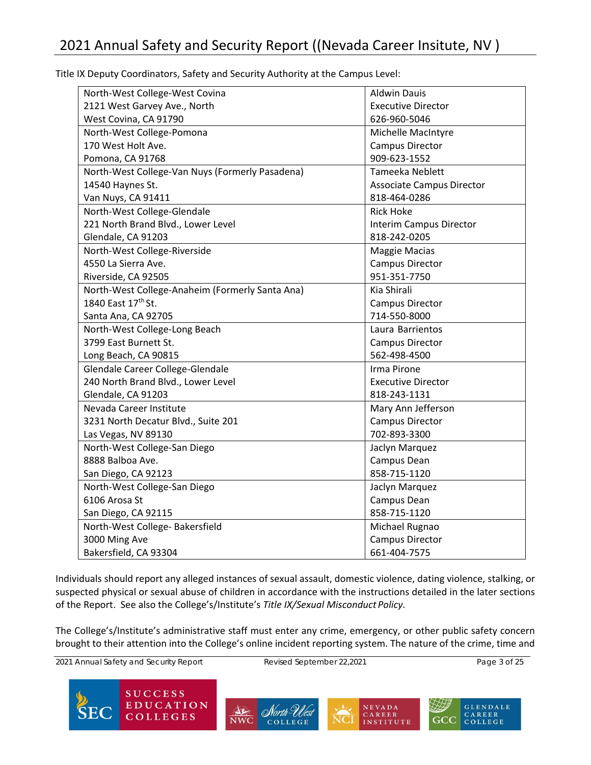Title IX Deputy Coordinators, Safety and Security Authority at the Campus Level:

| North-West College-West Covina                  | <b>Aldwin Dauis</b>              |
|-------------------------------------------------|----------------------------------|
| 2121 West Garvey Ave., North                    | <b>Executive Director</b>        |
| West Covina, CA 91790                           | 626-960-5046                     |
| North-West College-Pomona                       | Michelle MacIntyre               |
| 170 West Holt Ave.                              | <b>Campus Director</b>           |
| Pomona, CA 91768                                | 909-623-1552                     |
| North-West College-Van Nuys (Formerly Pasadena) | Tameeka Neblett                  |
| 14540 Haynes St.                                | <b>Associate Campus Director</b> |
| Van Nuys, CA 91411                              | 818-464-0286                     |
| North-West College-Glendale                     | <b>Rick Hoke</b>                 |
| 221 North Brand Blvd., Lower Level              | <b>Interim Campus Director</b>   |
| Glendale, CA 91203                              | 818-242-0205                     |
| North-West College-Riverside                    | <b>Maggie Macias</b>             |
| 4550 La Sierra Ave.                             | Campus Director                  |
| Riverside, CA 92505                             | 951-351-7750                     |
| North-West College-Anaheim (Formerly Santa Ana) | <b>Kia Shirali</b>               |
| 1840 East 17th St.                              | <b>Campus Director</b>           |
| Santa Ana, CA 92705                             | 714-550-8000                     |
| North-West College-Long Beach                   | Laura Barrientos                 |
| 3799 East Burnett St.                           | <b>Campus Director</b>           |
| Long Beach, CA 90815                            | 562-498-4500                     |
| Glendale Career College-Glendale                | Irma Pirone                      |
| 240 North Brand Blvd., Lower Level              | <b>Executive Director</b>        |
| Glendale, CA 91203                              | 818-243-1131                     |
| Nevada Career Institute                         | Mary Ann Jefferson               |
| 3231 North Decatur Blvd., Suite 201             | <b>Campus Director</b>           |
| Las Vegas, NV 89130                             | 702-893-3300                     |
| North-West College-San Diego                    | Jaclyn Marquez                   |
| 8888 Balboa Ave.                                | Campus Dean                      |
| San Diego, CA 92123                             | 858-715-1120                     |
| North-West College-San Diego                    | Jaclyn Marquez                   |
| 6106 Arosa St                                   | Campus Dean                      |
| San Diego, CA 92115                             | 858-715-1120                     |
| North-West College- Bakersfield                 | Michael Rugnao                   |
| 3000 Ming Ave                                   | <b>Campus Director</b>           |
| Bakersfield, CA 93304                           | 661-404-7575                     |

Individuals should report any alleged instances of sexual assault, domestic violence, dating violence, stalking, or suspected physical or sexual abuse of children in accordance with the instructions detailed in the later sections of the Report. See also the College's/Institute's *Title IX/Sexual Misconduct Policy.*

The College's/Institute's administrative staff must enter any crime, emergency, or other public safety concern brought to their attention into the College's online incident reporting system. The nature of the crime, time and

2021 Annual Safety and Security Report Revised September 22,2021 Page 3 of 25 **SUCCESS** EDUCATION **GLENDALE NEVADA** North-Ulest **COLLEGES** CAREER CAREER  $GCC$ INSTITUTE COLLEGE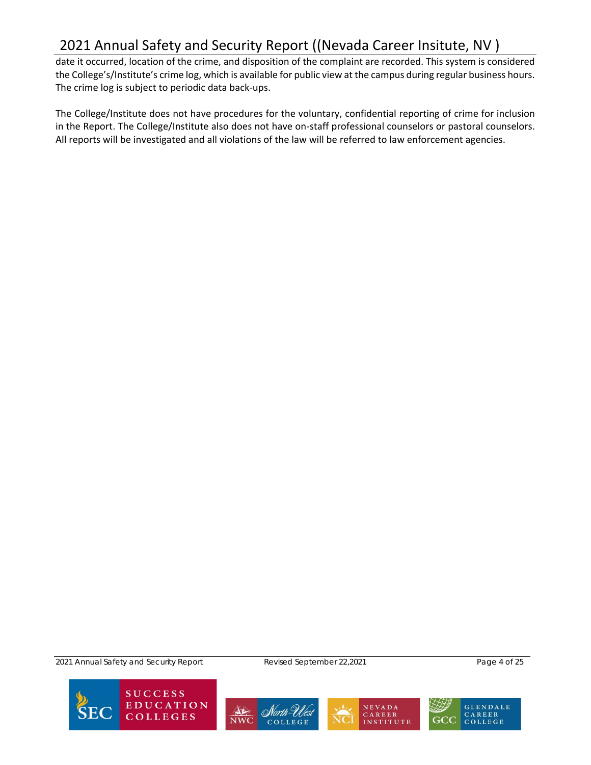date it occurred, location of the crime, and disposition of the complaint are recorded. This system is considered the College's/Institute's crime log, which is available for public view at the campus during regular business hours. The crime log is subject to periodic data back-ups.

The College/Institute does not have procedures for the voluntary, confidential reporting of crime for inclusion in the Report. The College/Institute also does not have on-staff professional counselors or pastoral counselors. All reports will be investigated and all violations of the law will be referred to law enforcement agencies.

2021 Annual Safety and Security Report Revised September 22,2021 Page 4 of 25

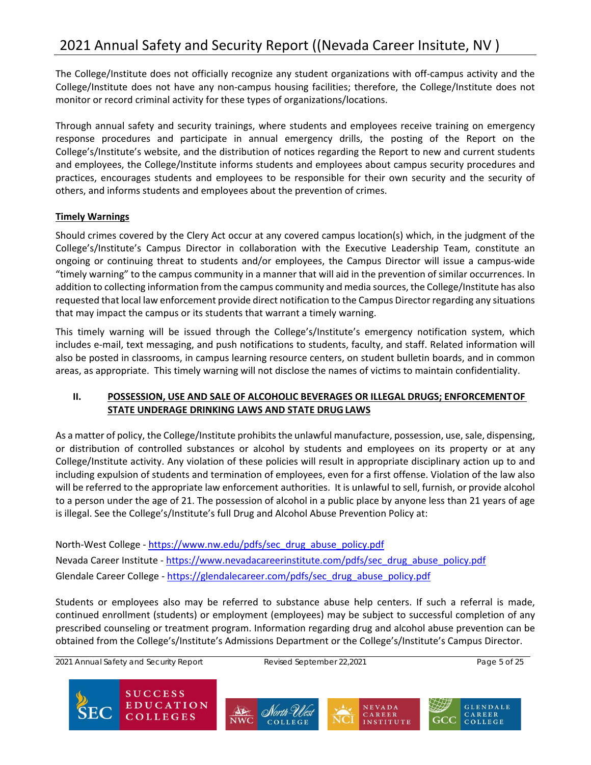The College/Institute does not officially recognize any student organizations with off-campus activity and the College/Institute does not have any non-campus housing facilities; therefore, the College/Institute does not monitor or record criminal activity for these types of organizations/locations.

Through annual safety and security trainings, where students and employees receive training on emergency response procedures and participate in annual emergency drills, the posting of the Report on the College's/Institute's website, and the distribution of notices regarding the Report to new and current students and employees, the College/Institute informs students and employees about campus security procedures and practices, encourages students and employees to be responsible for their own security and the security of others, and informs students and employees about the prevention of crimes.

# **Timely Warnings**

Should crimes covered by the Clery Act occur at any covered campus location(s) which, in the judgment of the College's/Institute's Campus Director in collaboration with the Executive Leadership Team, constitute an ongoing or continuing threat to students and/or employees, the Campus Director will issue a campus-wide "timely warning" to the campus community in a manner that will aid in the prevention of similar occurrences. In addition to collecting information from the campus community and media sources, the College/Institute has also requested that local law enforcement provide direct notification to the Campus Director regarding any situations that may impact the campus or its students that warrant a timely warning.

This timely warning will be issued through the College's/Institute's emergency notification system, which includes e-mail, text messaging, and push notifications to students, faculty, and staff. Related information will also be posted in classrooms, in campus learning resource centers, on student bulletin boards, and in common areas, as appropriate. This timely warning will not disclose the names of victims to maintain confidentiality.

# **II. POSSESSION, USE AND SALE OF ALCOHOLIC BEVERAGES OR ILLEGAL DRUGS; ENFORCEMENTOF STATE UNDERAGE DRINKING LAWS AND STATE DRUGLAWS**

As a matter of policy, the College/Institute prohibits the unlawful manufacture, possession, use, sale, dispensing, or distribution of controlled substances or alcohol by students and employees on its property or at any College/Institute activity. Any violation of these policies will result in appropriate disciplinary action up to and including expulsion of students and termination of employees, even for a first offense. Violation of the law also will be referred to the appropriate law enforcement authorities. It is unlawful to sell, furnish, or provide alcohol to a person under the age of 21. The possession of alcohol in a public place by anyone less than 21 years of age is illegal. See the College's/Institute's full Drug and Alcohol Abuse Prevention Policy at:

 North-West College - [https://www.nw.edu/pdfs/sec\\_drug\\_abuse\\_policy.pdf](https://www.nw.edu/pdfs/sec_drug_abuse_policy.pdf) Nevada Career Institute - [https://www.nevadacareerinstitute.com/pdfs/sec\\_drug\\_abuse\\_policy.pdf](https://www.nevadacareerinstitute.com/pdfs/sec_drug_abuse_policy.pdf) Glendale Career College - [https://glendalecareer.com/pdfs/sec\\_drug\\_abuse\\_policy.pdf](https://glendalecareer.com/pdfs/sec_drug_abuse_policy.pdf)

Students or employees also may be referred to substance abuse help centers. If such a referral is made, continued enrollment (students) or employment (employees) may be subject to successful completion of any prescribed counseling or treatment program. Information regarding drug and alcohol abuse prevention can be obtained from the College's/Institute's Admissions Department or the College's/Institute's Campus Director.

2021 Annual Safety and Security Report **Revised September 22,2021** Page 5 of 25







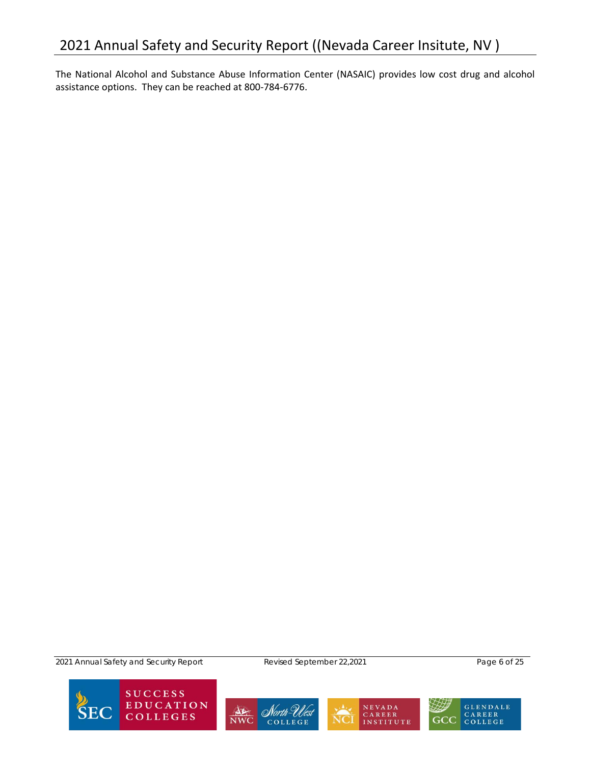The National Alcohol and Substance Abuse Information Center (NASAIC) provides low cost drug and alcohol assistance options. They can be reached at 800-784-6776.

2021 Annual Safety and Security Report **Revised September 22,2021** Page 6 of 25

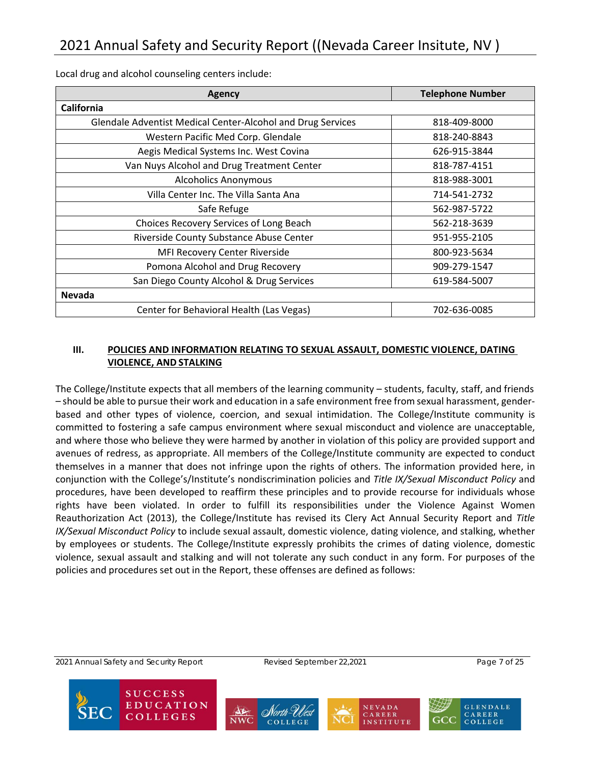| Agency                                                      | <b>Telephone Number</b> |
|-------------------------------------------------------------|-------------------------|
| California                                                  |                         |
| Glendale Adventist Medical Center-Alcohol and Drug Services | 818-409-8000            |
| Western Pacific Med Corp. Glendale                          | 818-240-8843            |
| Aegis Medical Systems Inc. West Covina                      | 626-915-3844            |
| Van Nuys Alcohol and Drug Treatment Center                  | 818-787-4151            |
| <b>Alcoholics Anonymous</b>                                 | 818-988-3001            |
| Villa Center Inc. The Villa Santa Ana                       | 714-541-2732            |
| Safe Refuge                                                 | 562-987-5722            |
| Choices Recovery Services of Long Beach                     | 562-218-3639            |
| Riverside County Substance Abuse Center                     | 951-955-2105            |
| MFI Recovery Center Riverside                               | 800-923-5634            |
| Pomona Alcohol and Drug Recovery                            | 909-279-1547            |
| San Diego County Alcohol & Drug Services                    | 619-584-5007            |
| <b>Nevada</b>                                               |                         |
| Center for Behavioral Health (Las Vegas)                    | 702-636-0085            |
|                                                             |                         |

Local drug and alcohol counseling centers include:

## **III. POLICIES AND INFORMATION RELATING TO SEXUAL ASSAULT, DOMESTIC VIOLENCE, DATING VIOLENCE, AND STALKING**

The College/Institute expects that all members of the learning community – students, faculty, staff, and friends – should be able to pursue their work and education in a safe environment free from sexual harassment, genderbased and other types of violence, coercion, and sexual intimidation. The College/Institute community is committed to fostering a safe campus environment where sexual misconduct and violence are unacceptable, and where those who believe they were harmed by another in violation of this policy are provided support and avenues of redress, as appropriate. All members of the College/Institute community are expected to conduct themselves in a manner that does not infringe upon the rights of others. The information provided here, in conjunction with the College's/Institute's nondiscrimination policies and *Title IX/Sexual Misconduct Policy* and procedures, have been developed to reaffirm these principles and to provide recourse for individuals whose rights have been violated. In order to fulfill its responsibilities under the Violence Against Women Reauthorization Act (2013), the College/Institute has revised its Clery Act Annual Security Report and *Title IX/Sexual Misconduct Policy* to include sexual assault, domestic violence, dating violence, and stalking, whether by employees or students. The College/Institute expressly prohibits the crimes of dating violence, domestic violence, sexual assault and stalking and will not tolerate any such conduct in any form. For purposes of the policies and procedures set out in the Report, these offenses are defined as follows:

2021 Annual Safety and Security Report **Revised September 22,2021** Page 7 of 25 **SUCCESS EDUCATION GLENDALE NEVADA** North-Ulesi CAREER CAREER  $GCC$ **INSTITUTE**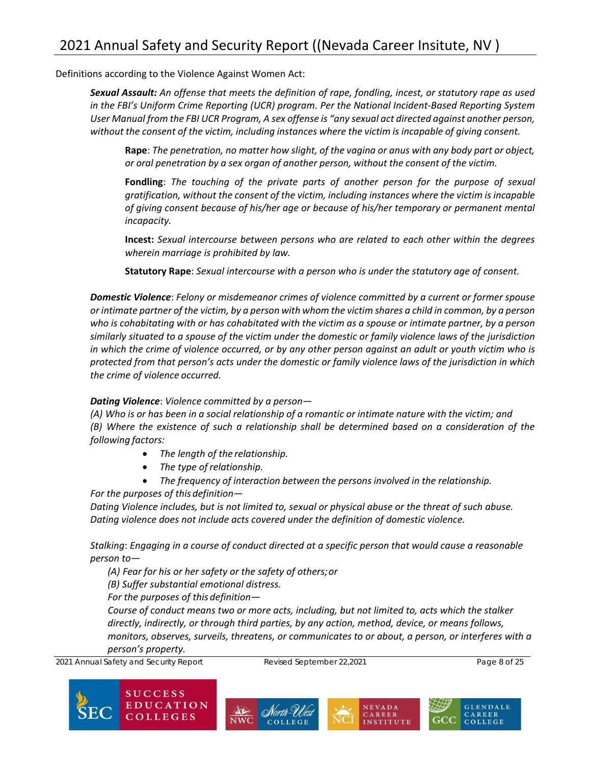Definitions according to the Violence Against Women Act:

*Sexual Assault: An offense that meets the definition of rape, fondling, incest, or statutory rape as used in the FBI's Uniform Crime Reporting (UCR) program. Per the National Incident-Based Reporting System*  User Manual from the FBI UCR Program, A sex offense is "any sexual act directed against another person, *without the consent of the victim, including instances where the victim is incapable of giving consent.*

**Rape**: *The penetration, no matter how slight, of the vagina or anus with any body part or object, or oral penetration by a sex organ of another person, without the consent of the victim.*

**Fondling**: *The touching of the private parts of another person for the purpose of sexual gratification, without the consent of the victim, including instances where the victim is incapable of giving consent because of his/her age or because of his/her temporary or permanent mental incapacity.*

**Incest:** *Sexual intercourse between persons who are related to each other within the degrees wherein marriage is prohibited by law.*

**Statutory Rape**: *Sexual intercourse with a person who is under the statutory age of consent.*

*Domestic Violence*: *Felony or misdemeanor crimes of violence committed by a current or former spouse*  or intimate partner of the victim, by a person with whom the victim shares a child in common, by a person who is cohabitating with or has cohabitated with the victim as a spouse or intimate partner, by a person *similarly situated to a spouse of the victim under the domestic or family violence laws of the jurisdiction in which the crime of violence occurred, or by any other person against an adult or youth victim who is protected from that person's acts under the domestic or family violence laws of the jurisdiction in which the crime of violence occurred.*

*Dating Violence*: *Violence committed by a person—*

(A) Who is or has been in a social relationship of a romantic or intimate nature with the victim; and *(B) Where the existence of such a relationship shall be determined based on a consideration of the following factors:*

- *The length of the relationship.*
- *The type of relationship.*
- *The frequency of interaction between the persons involved in the relationship.*

*For the purposes of this definition—*

*Dating Violence includes, but is not limited to, sexual or physical abuse or the threat of such abuse. Dating violence does not include acts covered under the definition of domestic violence.*

*Stalking*: *Engaging in a course of conduct directed at a specific person that would cause a reasonable person to—*

*(A) Fear for his or her safety or the safety of others;or*

*(B) Suffer substantial emotional distress.* 

*For the purposes of this definition—*

*Course of conduct means two or more acts, including, but not limited to, acts which the stalker directly, indirectly, or through third parties, by any action, method, device, or means follows, monitors, observes, surveils, threatens, or communicates to or about, a person, or interferes with a person's property.*

2021 Annual Safety and Security Report **Revised September 22,2021** Page 8 of 25







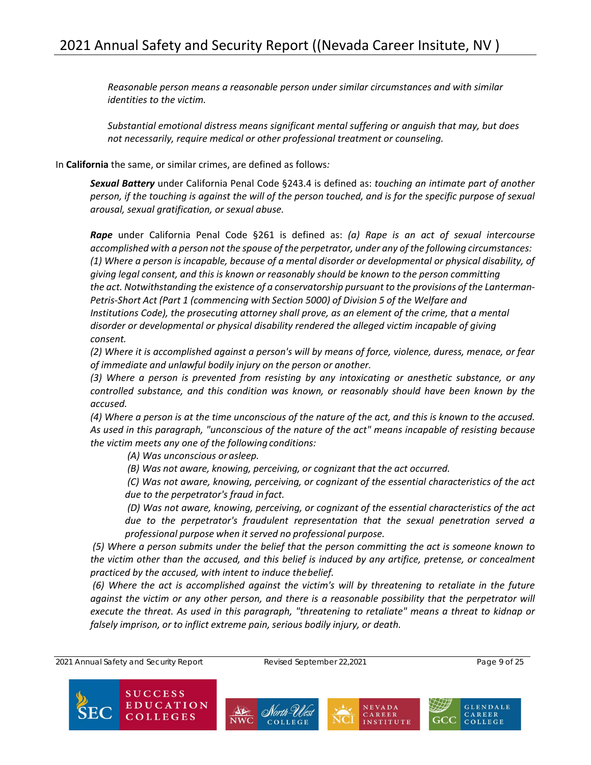*Reasonable person means a reasonable person under similar circumstances and with similar identities to the victim.*

*Substantial emotional distress means significant mental suffering or anguish that may, but does not necessarily, require medical or other professional treatment or counseling.*

In **California** the same, or similar crimes, are defined as follows*:*

*Sexual Battery* under California Penal Code §243.4 is defined as: *touching an intimate part of another person, if the touching is against the will of the person touched, and is for the specific purpose of sexual arousal, sexual gratification, or sexual abuse.*

*Rape* under California Penal Code §261 is defined as: *(a) Rape is an act of sexual intercourse accomplished with a person not the spouse of the perpetrator, under any of the following circumstances:* (1) Where a person is incapable, because of a mental disorder or developmental or physical disability, of *giving legal consent, and this is known or reasonably should be known to the person committing the act. Notwithstanding the existence of a conservatorship pursuant to the provisions of the Lanterman-Petris-Short Act (Part 1 (commencing with Section 5000) of Division 5 of the Welfare and Institutions Code), the prosecuting attorney shall prove, as an element of the crime, that a mental disorder or developmental or physical disability rendered the alleged victim incapable of giving consent.*

*(2) Where it is accomplished against a person's will by means of force, violence, duress, menace, or fear of immediate and unlawful bodily injury on the person or another.*

*(3) Where a person is prevented from resisting by any intoxicating or anesthetic substance, or any controlled substance, and this condition was known, or reasonably should have been known by the accused.*

*(4) Where a person is at the time unconscious of the nature of the act, and this is known to the accused. As used in this paragraph, "unconscious of the nature of the act" means incapable of resisting because the victim meets any one of the followingconditions:*

*(A) Was unconscious or asleep.*

*(B) Was not aware, knowing, perceiving, or cognizant that the act occurred.*

*(C) Was not aware, knowing, perceiving, or cognizant of the essential characteristics of the act due to the perpetrator's fraud in fact.*

*(D) Was not aware, knowing, perceiving, or cognizant of the essential characteristics of the act due to the perpetrator's fraudulent representation that the sexual penetration served a professional purpose when it served no professional purpose.*

*(5) Where a person submits under the belief that the person committing the act is someone known to the victim other than the accused, and this belief is induced by any artifice, pretense, or concealment practiced by the accused, with intent to induce thebelief.*

*(6) Where the act is accomplished against the victim's will by threatening to retaliate in the future*  against the victim or any other person, and there is a reasonable possibility that the perpetrator will *execute the threat. As used in this paragraph, "threatening to retaliate" means a threat to kidnap or falsely imprison, or to inflict extreme pain, serious bodily injury, or death.*

2021 Annual Safety and Security Report **Revised September 22,2021** Page 9 of 25





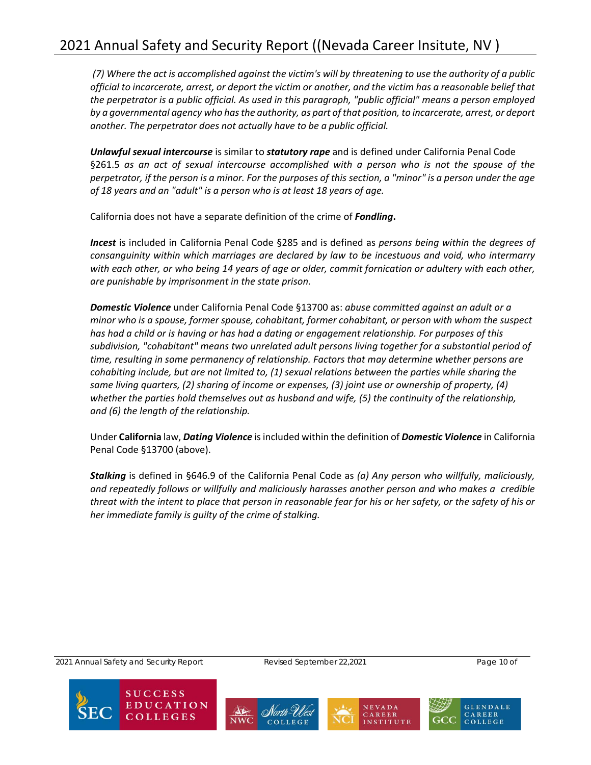(7) Where the act is accomplished against the victim's will by threatening to use the authority of a public official to incarcerate, arrest, or deport the victim or another, and the victim has a reasonable belief that *the perpetrator is a public official. As used in this paragraph, "public official" means a person employed*  by a governmental agency who has the authority, as part of that position, to incarcerate, arrest, or deport *another. The perpetrator does not actually have to be a public official.*

*Unlawful sexual intercourse* is similar to *statutory rape* and is defined under California Penal Code §261.5 *as an act of sexual intercourse accomplished with a person who is not the spouse of the*  perpetrator, if the person is a minor. For the purposes of this section, a "minor" is a person under the age *of 18 years and an "adult" is a person who is at least 18 years of age.*

California does not have a separate definition of the crime of *Fondling***.**

*Incest* is included in California Penal Code §285 and is defined as *persons being within the degrees of consanguinity within which marriages are declared by law to be incestuous and void, who intermarry with each other, or who being 14 years of age or older, commit fornication or adultery with each other, are punishable by imprisonment in the state prison.*

*Domestic Violence* under California Penal Code §13700 as: *abuse committed against an adult or a minor who is a spouse, former spouse, cohabitant, former cohabitant, or person with whom the suspect has had a child or is having or has had a dating or engagement relationship. For purposes of this subdivision, "cohabitant" means two unrelated adult persons living together for a substantial period of time, resulting in some permanency of relationship. Factors that may determine whether persons are cohabiting include, but are not limited to, (1) sexual relations between the parties while sharing the same living quarters, (2) sharing of income or expenses, (3) joint use or ownership of property, (4) whether the parties hold themselves out as husband and wife, (5) the continuity of the relationship, and (6) the length of the relationship.*

Under **California** law, *Dating Violence* is included within the definition of *Domestic Violence* in California Penal Code §13700 (above).

*Stalking* is defined in §646.9 of the California Penal Code as *(a) Any person who willfully, maliciously, and repeatedly follows or willfully and maliciously harasses another person and who makes a credible threat with the intent to place that person in reasonable fear for his or her safety, or the safety of his or her immediate family is guilty of the crime of stalking.*

2021 Annual Safety and Security Report **Revised September 22,2021** Page 10 of





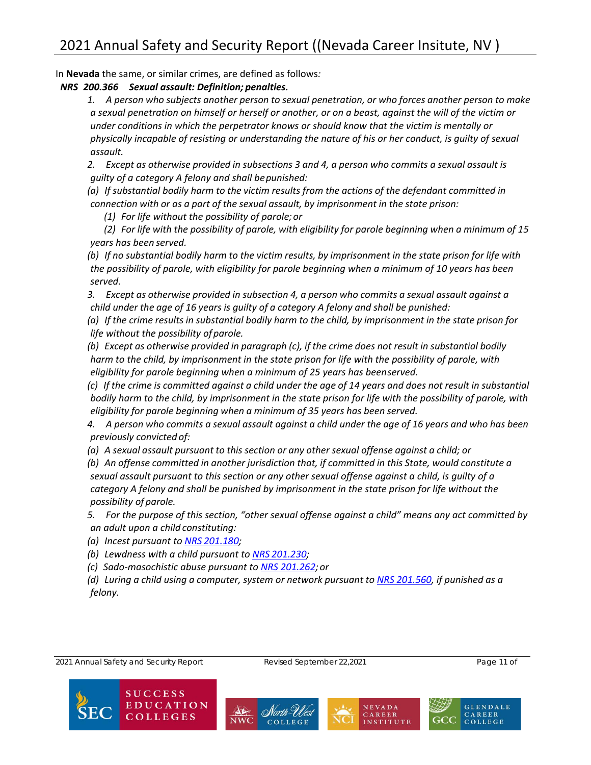In **Nevada** the same, or similar crimes, are defined as follows*:*

# *NRS 200.366 Sexual assault: Definition; penalties.*

*1. A person who subjects another person to sexual penetration, or who forces another person to make a sexual penetration on himself or herself or another, or on a beast, against the will of the victim or under conditions in which the perpetrator knows or should know that the victim is mentally or physically incapable of resisting or understanding the nature of his or her conduct, is guilty of sexual assault.*

*2. Except as otherwise provided in subsections 3 and 4, a person who commits a sexual assault is guilty of a category A felony and shall bepunished:*

*(a) If substantial bodily harm to the victim results from the actions of the defendant committed in connection with or as a part of the sexual assault, by imprisonment in the state prison:*

*(1) For life without the possibility of parole;or*

(2) For life with the possibility of parole, with eligibility for parole beginning when a minimum of 15 *years has been served.*

(b) If no substantial bodily harm to the victim results, by imprisonment in the state prison for life with *the possibility of parole, with eligibility for parole beginning when a minimum of 10 years has been served.*

*3. Except as otherwise provided in subsection 4, a person who commits a sexual assault against a child under the age of 16 years is guilty of a category A felony and shall be punished:*

(a) If the crime results in substantial bodily harm to the child, by imprisonment in the state prison for *life without the possibility ofparole.*

*(b) Except as otherwise provided in paragraph (c), if the crime does not result in substantial bodily harm to the child, by imprisonment in the state prison for life with the possibility of parole, with eligibility for parole beginning when a minimum of 25 years has beenserved.*

(c) If the crime is committed against a child under the age of 14 years and does not result in substantial *bodily harm to the child, by imprisonment in the state prison for life with the possibility of parole, with eligibility for parole beginning when a minimum of 35 years has been served.*

4. A person who commits a sexual assault against a child under the age of 16 years and who has been *previously convicted of:*

*(a) A sexual assault pursuant to this section or any other sexual offense against a child; or*

*(b) An offense committed in another jurisdiction that, if committed in this State, would constitute a sexual assault pursuant to this section or any other sexual offense against a child, is guilty of a category A felony and shall be punished by imprisonment in the state prison for life without the possibility of parole.*

*5. For the purpose of this section, "other sexual offense against a child" means any act committed by an adult upon a child constituting:*

*(a) Incest pursuant to NRS [201.180;](https://www.leg.state.nv.us/nrs/NRS-201.html#NRS201Sec180)*

*(b) Lewdness with a child pursuant to NRS [201.230;](https://www.leg.state.nv.us/nrs/NRS-201.html#NRS201Sec230)*

*(c) Sado-masochistic abuse pursuant to [NRS 201.262;](https://www.leg.state.nv.us/nrs/NRS-201.html#NRS201Sec262) or*

*(d) Luring a child using a computer, system or network pursuant to NRS [201.560,](https://www.leg.state.nv.us/nrs/NRS-201.html#NRS201Sec560) if punished as a felony.*

2021 Annual Safety and Security Report **Revised September 22,2021** Page 11 of







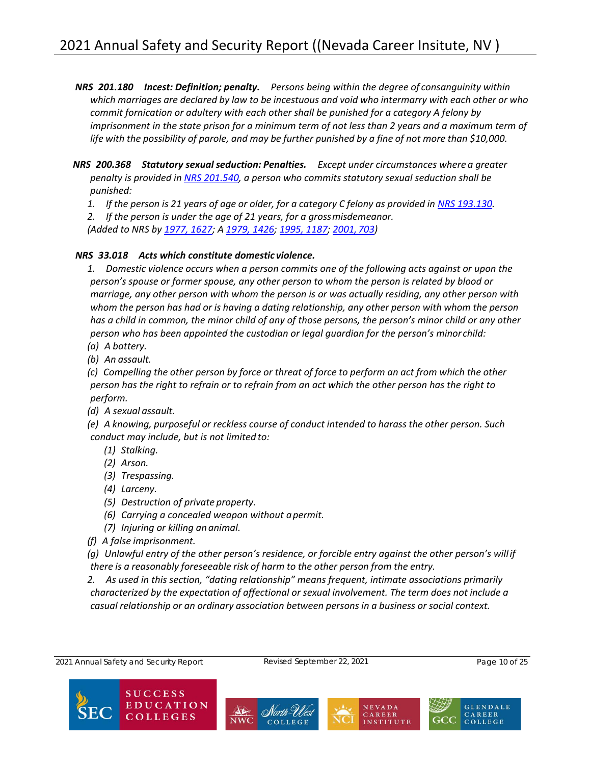- *NRS 201.180 Incest: Definition; penalty. Persons being within the degree of consanguinity within* which marriages are declared by law to be incestuous and void who intermarry with each other or who *commit fornication or adultery with each other shall be punished for a category A felony by imprisonment in the state prison for a minimum term of not less than 2 years and a maximum term of*  life with the possibility of parole, and may be further punished by a fine of not more than \$10,000.
- *NRS 200.368 Statutory sexual seduction: Penalties. Except under circumstances where a greater penalty is provided in [NRS 201.540,](https://www.leg.state.nv.us/nrs/NRS-201.html#NRS201Sec540) a person who commits statutory sexual seduction shall be punished:*
	- 1. If the person is 21 years of age or older, for a category C felony as provided in NRS [193.130.](https://www.leg.state.nv.us/nrs/NRS-193.html#NRS193Sec130)
	- *2. If the person is under the age of 21 years, for a grossmisdemeanor.*

*(Added to NRS by [1977, 1627;](https://www.leg.state.nv.us/Statutes/59th/Stats197707.html#Stats197707page1627) A [1979, 1426;](https://www.leg.state.nv.us/Statutes/60th/Stats197908.html#Stats197908page1426) [1995, 1187;](https://www.leg.state.nv.us/Statutes/68th/Stats199506.html#Stats199506page1187) [2001,](https://www.leg.state.nv.us/Statutes/71st/Stats200105.html#Stats200105page703) 703)*

### *NRS 33.018 Acts which constitute domestic violence.*

*1. Domestic violence occurs when a person commits one of the following acts against or upon the person's spouse or former spouse, any other person to whom the person is related by blood or marriage, any other person with whom the person is or was actually residing, any other person with whom the person has had or is having a dating relationship, any other person with whom the person*  has a child in common, the minor child of any of those persons, the person's minor child or any other *person who has been appointed the custodian or legal guardian for the person's minor child:*

*(a) A battery.*

*(b) An assault.*

(c) Compelling the other person by force or threat of force to perform an act from which the other *person has the right to refrain or to refrain from an act which the other person has the right to perform.*

*(d) A sexual assault.*

*(e) A knowing, purposeful or reckless course of conduct intended to harass the other person. Such conduct may include, but is not limited to:*

- *(1) Stalking.*
- *(2) Arson.*
- *(3) Trespassing.*
- *(4) Larceny.*
- *(5) Destruction of private property.*
- *(6) Carrying a concealed weapon without apermit.*
- *(7) Injuring or killing an animal.*
- *(f) A false imprisonment.*

*(g) Unlawful entry of the other person's residence, or forcible entry against the other person's will if there is a reasonably foreseeable risk of harm to the other person from the entry.*

*2. As used in this section, "dating relationship" means frequent, intimate associations primarily characterized by the expectation of affectional or sexual involvement. The term does not include a casual relationship or an ordinary association between persons in a business or social context.*

2021 Annual Safety and Security Report **Revised September 22, 2021** Page 10 of 25







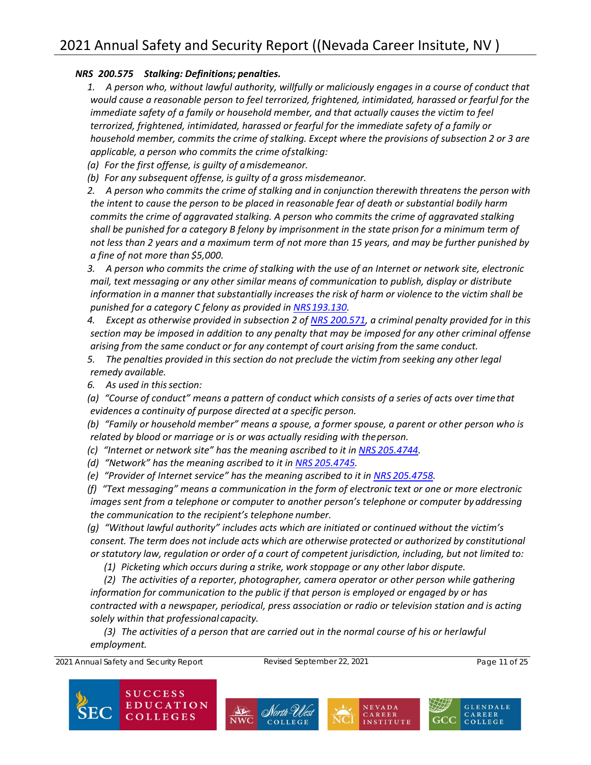## *NRS 200.575 Stalking: Definitions; penalties.*

*1. A person who, without lawful authority, willfully or maliciously engages in a course of conduct that would cause a reasonable person to feel terrorized, frightened, intimidated, harassed or fearful for the immediate safety of a family or household member, and that actually causes the victim to feel terrorized, frightened, intimidated, harassed or fearful for the immediate safety of a family or household member, commits the crime of stalking. Except where the provisions of subsection 2 or 3 are applicable, a person who commits the crime ofstalking:*

*(a) For the first offense, is guilty of amisdemeanor.*

*(b) For any subsequent offense, is guilty of a gross misdemeanor.*

*2. A person who commits the crime of stalking and in conjunction therewith threatens the person with the intent to cause the person to be placed in reasonable fear of death or substantial bodily harm commits the crime of aggravated stalking. A person who commits the crime of aggravated stalking shall be punished for a category B felony by imprisonment in the state prison for a minimum term of not less than 2 years and a maximum term of not more than 15 years, and may be further punished by a fine of not more than \$5,000.*

*3. A person who commits the crime of stalking with the use of an Internet or network site, electronic mail, text messaging or any other similar means of communication to publish, display or distribute*  information in a manner that substantially increases the risk of harm or violence to the victim shall be *punished for a category C felony as provided in [NRS193.130.](https://www.leg.state.nv.us/nrs/NRS-193.html#NRS193Sec130)*

4. Except as otherwise provided in subsection 2 of NRS [200.571,](https://www.leg.state.nv.us/nrs/NRS-200.html#NRS200Sec571) a criminal penalty provided for in this *section may be imposed in addition to any penalty that may be imposed for any other criminal offense arising from the same conduct or for any contempt of court arising from the same conduct.*

*5. The penalties provided in this section do not preclude the victim from seeking any other legal remedy available.*

*6. As used in thissection:*

*(a) "Course of conduct" means a pattern of conduct which consists of a series of acts over time that evidences a continuity of purpose directed at a specific person.*

*(b) "Family or household member" means a spouse, a former spouse, a parent or other person who is related by blood or marriage or is or was actually residing with theperson.*

*(c) "Internet or network site" has the meaning ascribed to it in NRS [205.4744.](https://www.leg.state.nv.us/nrs/NRS-205.html#NRS205Sec4744)*

*(d) "Network" has the meaning ascribed to it in NRS [205.4745.](https://www.leg.state.nv.us/nrs/NRS-205.html#NRS205Sec4745)*

*(e) "Provider of Internet service" has the meaning ascribed to it in NRS [205.4758.](https://www.leg.state.nv.us/nrs/NRS-205.html#NRS205Sec4758)*

*(f) "Text messaging" means a communication in the form of electronic text or one or more electronic images sent from a telephone or computer to another person's telephone or computer by addressing the communication to the recipient's telephone number.*

*(g) "Without lawful authority" includes acts which are initiated or continued without the victim's consent. The term does not include acts which are otherwise protected or authorized by constitutional*  or statutory law, regulation or order of a court of competent jurisdiction, including, but not limited to:

*(1) Picketing which occurs during a strike, work stoppage or any other labor dispute.*

*(2) The activities of a reporter, photographer, camera operator or other person while gathering information for communication to the public if that person is employed or engaged by or has contracted with a newspaper, periodical, press association or radio or television station and is acting solely within that professional capacity.*

*(3) The activities of a person that are carried out in the normal course of his or herlawful employment.*

2021 Annual Safety and Security Report **Revised September 22, 2021** Page 11 of 25







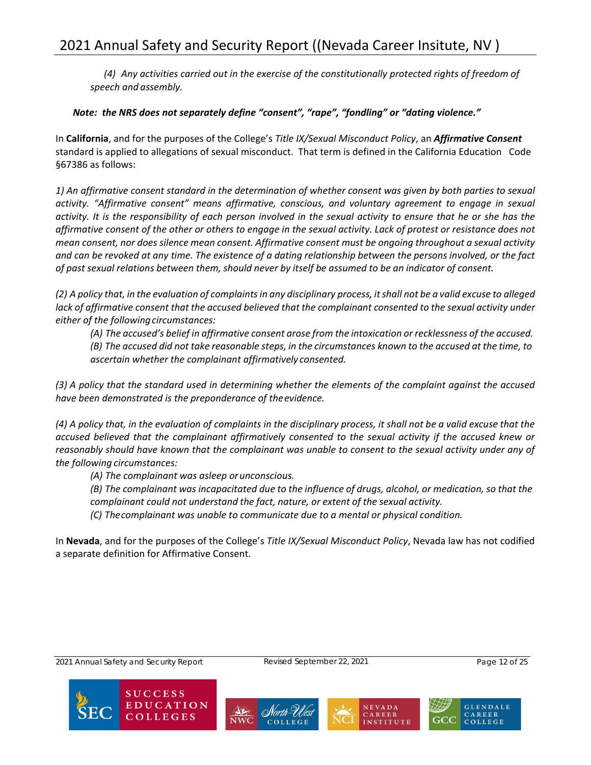*(4) Any activities carried out in the exercise of the constitutionally protected rights of freedom of speech and assembly.*

# *Note: the NRS does not separately define "consent", "rape", "fondling" or "dating violence."*

In **California**, and for the purposes of the College's *Title IX/Sexual Misconduct Policy*, an *Affirmative Consent* standard is applied to allegations of sexual misconduct. That term is defined in the California Education Code §67386 as follows:

*1) An affirmative consent standard in the determination of whether consent was given by both parties to sexual activity. "Affirmative consent" means affirmative, conscious, and voluntary agreement to engage in sexual activity. It is the responsibility of each person involved in the sexual activity to ensure that he or she has the affirmative consent of the other or others to engage in the sexual activity. Lack of protest or resistance does not mean consent, nor does silence mean consent. Affirmative consent must be ongoing throughout a sexual activity*  and can be revoked at any time. The existence of a dating relationship between the persons involved, or the fact of past sexual relations between them, should never by itself be assumed to be an indicator of consent.

(2) A policy that, in the evaluation of complaints in any disciplinary process, it shall not be a valid excuse to alleged lack of affirmative consent that the accused believed that the complainant consented to the sexual activity under *either of the following circumstances:* 

*(A) The accused's belief in affirmative consent arose from the intoxication or recklessness of the accused.*

(B) The accused did not take reasonable steps, in the circumstances known to the accused at the time, to *ascertain whether the complainant affirmatively consented.*

*(3) A policy that the standard used in determining whether the elements of the complaint against the accused have been demonstrated is the preponderance of theevidence.*

(4) A policy that, in the evaluation of complaints in the disciplinary process, it shall not be a valid excuse that the *accused believed that the complainant affirmatively consented to the sexual activity if the accused knew or reasonably should have known that the complainant was unable to consent to the sexual activity under any of the following circumstances:*

*(A) The complainant was asleep orunconscious.*

*(B) The complainant was incapacitated due to the influence of drugs, alcohol, or medication, so that the complainant could not understand the fact, nature, or extent of the sexual activity.*

*(C) Thecomplainant was unable to communicate due to a mental or physical condition.*

In **Nevada**, and for the purposes of the College's *Title IX/Sexual Misconduct Policy*, Nevada law has not codified a separate definition for Affirmative Consent.



2021 Annual Safety and Security Report **Revised September 22, 2021 Page 12 of 25** entitled a Revised September 22, 2021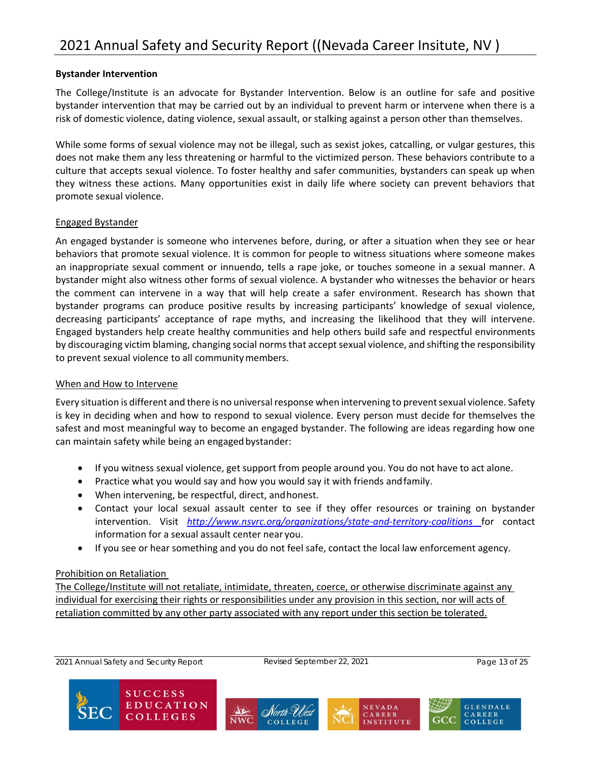## **Bystander Intervention**

The College/Institute is an advocate for Bystander Intervention. Below is an outline for safe and positive bystander intervention that may be carried out by an individual to prevent harm or intervene when there is a risk of domestic violence, dating violence, sexual assault, or stalking against a person other than themselves.

While some forms of sexual violence may not be illegal, such as sexist jokes, catcalling, or vulgar gestures, this does not make them any less threatening or harmful to the victimized person. These behaviors contribute to a culture that accepts sexual violence. To foster healthy and safer communities, bystanders can speak up when they witness these actions. Many opportunities exist in daily life where society can prevent behaviors that promote sexual violence.

### Engaged Bystander

An engaged bystander is someone who intervenes before, during, or after a situation when they see or hear behaviors that promote sexual violence. It is common for people to witness situations where someone makes an inappropriate sexual comment or innuendo, tells a rape joke, or touches someone in a sexual manner. A bystander might also witness other forms of sexual violence. A bystander who witnesses the behavior or hears the comment can intervene in a way that will help create a safer environment. Research has shown that bystander programs can produce positive results by increasing participants' knowledge of sexual violence, decreasing participants' acceptance of rape myths, and increasing the likelihood that they will intervene. Engaged bystanders help create healthy communities and help others build safe and respectful environments by discouraging victim blaming, changing social norms that accept sexual violence, and shifting the responsibility to prevent sexual violence to all communitymembers.

### When and How to Intervene

Every situation is different and there is no universal response when intervening to prevent sexual violence. Safety is key in deciding when and how to respond to sexual violence. Every person must decide for themselves the safest and most meaningful way to become an engaged bystander. The following are ideas regarding how one can maintain safety while being an engaged bystander:

- If you witness sexual violence, get support from people around you. You do not have to act alone.
- Practice what you would say and how you would say it with friends andfamily.
- When intervening, be respectful, direct, and honest.
- Contact your local sexual assault center to see if they offer resources or training on bystander intervention. Visit *[http://www.nsvrc.org/organizations/state-and-territory-c](http://www.nsvrc.org/organizations/state-and-territory-coalitions)oalitions* for contact information for a sexual assault center near you.
- If you see or hear something and you do not feel safe, contact the local law enforcement agency.

# Prohibition on Retaliation

The College/Institute will not retaliate, intimidate, threaten, coerce, or otherwise discriminate against any individual for exercising their rights or responsibilities under any provision in this section, nor will acts of retaliation committed by any other party associated with any report under this section be tolerated.

2021 Annual Safety and Security Report **Revised September 22, 2021** Page 13 of 25







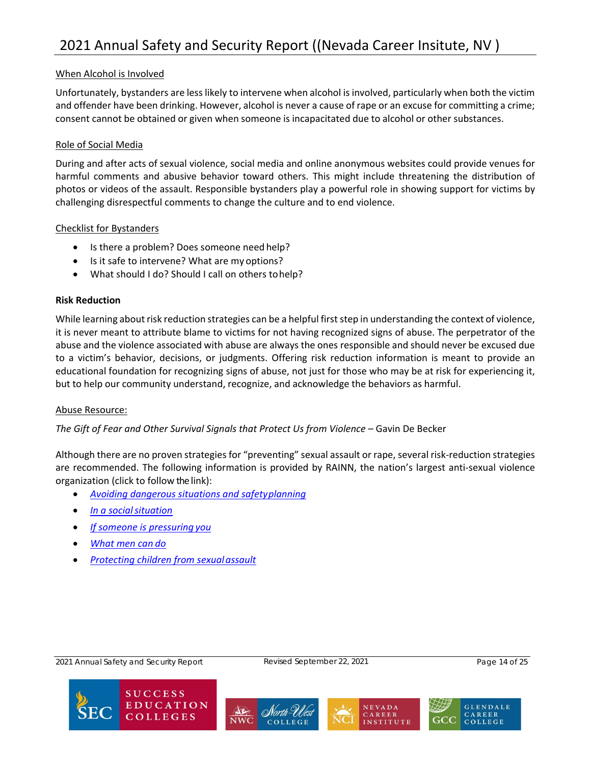## When Alcohol is Involved

Unfortunately, bystanders are lesslikely to intervene when alcohol isinvolved, particularly when both the victim and offender have been drinking. However, alcohol is never a cause of rape or an excuse for committing a crime; consent cannot be obtained or given when someone is incapacitated due to alcohol or other substances.

### Role of Social Media

During and after acts of sexual violence, social media and online anonymous websites could provide venues for harmful comments and abusive behavior toward others. This might include threatening the distribution of photos or videos of the assault. Responsible bystanders play a powerful role in showing support for victims by challenging disrespectful comments to change the culture and to end violence.

### Checklist for Bystanders

- Is there a problem? Does someone need help?
- Is it safe to intervene? What are my options?
- What should I do? Should I call on others tohelp?

## **Risk Reduction**

While learning about risk reduction strategies can be a helpful first step in understanding the context of violence, it is never meant to attribute blame to victims for not having recognized signs of abuse. The perpetrator of the abuse and the violence associated with abuse are always the ones responsible and should never be excused due to a victim's behavior, decisions, or judgments. Offering risk reduction information is meant to provide an educational foundation for recognizing signs of abuse, not just for those who may be at risk for experiencing it, but to help our community understand, recognize, and acknowledge the behaviors as harmful.

### Abuse Resource:

# The Gift of Fear and Other Survival Signals that Protect Us from Violence - Gavin De Becker

Although there are no proven strategies for "preventing" sexual assault or rape, several risk-reduction strategies are recommended. The following information is provided by RAINN, the nation's largest anti-sexual violence organization (click to follow the link):

- *[Avoiding dangerous situations and safetyplanning](https://www.rainn.org/get-information/sexual-assault-prevention/avoiding-dangerous-situations)*
- *[In a socialsituation](https://www.rainn.org/get-information/sexual-assault-prevention/social-situations)*
- *[If someone is pressuring](https://www.rainn.org/get-information/sexual-assault-prevention/avoiding-pressure) you*
- *[What men can](http://www.rainn.org/get-information/sexual-assault-prevention/men-can-help) do*
- *[Protecting children from sexualassault](http://www.rainn.org/get-information/sexual-assault-prevention/protecting-a-child-from-sexual-assault)*

2021 Annual Safety and Security Report **Revised September 22, 2021** Page 14 of 25







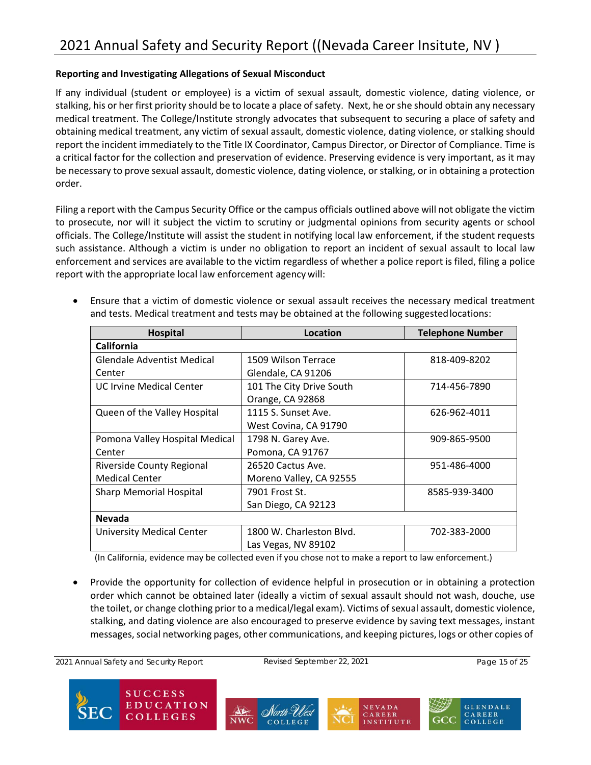# **Reporting and Investigating Allegations of Sexual Misconduct**

If any individual (student or employee) is a victim of sexual assault, domestic violence, dating violence, or stalking, his or her first priority should be to locate a place of safety. Next, he or she should obtain any necessary medical treatment. The College/Institute strongly advocates that subsequent to securing a place of safety and obtaining medical treatment, any victim of sexual assault, domestic violence, dating violence, or stalking should report the incident immediately to the Title IX Coordinator, Campus Director, or Director of Compliance. Time is a critical factor for the collection and preservation of evidence. Preserving evidence is very important, as it may be necessary to prove sexual assault, domestic violence, dating violence, or stalking, or in obtaining a protection order.

Filing a report with the Campus Security Office or the campus officials outlined above will not obligate the victim to prosecute, nor will it subject the victim to scrutiny or judgmental opinions from security agents or school officials. The College/Institute will assist the student in notifying local law enforcement, if the student requests such assistance. Although a victim is under no obligation to report an incident of sexual assault to local law enforcement and services are available to the victim regardless of whether a police report is filed, filing a police report with the appropriate local law enforcement agencywill:

• Ensure that a victim of domestic violence or sexual assault receives the necessary medical treatment and tests. Medical treatment and tests may be obtained at the following suggestedlocations:

| <b>Hospital</b>                   | Location                 | <b>Telephone Number</b> |
|-----------------------------------|--------------------------|-------------------------|
| <b>California</b>                 |                          |                         |
| <b>Glendale Adventist Medical</b> | 1509 Wilson Terrace      | 818-409-8202            |
| Center                            | Glendale, CA 91206       |                         |
| <b>UC Irvine Medical Center</b>   | 101 The City Drive South | 714-456-7890            |
|                                   | Orange, CA 92868         |                         |
| Queen of the Valley Hospital      | 1115 S. Sunset Ave.      | 626-962-4011            |
|                                   | West Covina, CA 91790    |                         |
| Pomona Valley Hospital Medical    | 1798 N. Garey Ave.       | 909-865-9500            |
| Center                            | Pomona, CA 91767         |                         |
| Riverside County Regional         | 26520 Cactus Ave.        | 951-486-4000            |
| <b>Medical Center</b>             | Moreno Valley, CA 92555  |                         |
| <b>Sharp Memorial Hospital</b>    | 7901 Frost St.           | 8585-939-3400           |
|                                   | San Diego, CA 92123      |                         |
| <b>Nevada</b>                     |                          |                         |
| <b>University Medical Center</b>  | 1800 W. Charleston Blvd. | 702-383-2000            |
|                                   | Las Vegas, NV 89102      |                         |

(In California, evidence may be collected even if you chose not to make a report to law enforcement.)

• Provide the opportunity for collection of evidence helpful in prosecution or in obtaining a protection order which cannot be obtained later (ideally a victim of sexual assault should not wash, douche, use the toilet, or change clothing prior to a medical/legal exam). Victims of sexual assault, domestic violence, stalking, and dating violence are also encouraged to preserve evidence by saving text messages, instant messages, social networking pages, other communications, and keeping pictures, logs or other copies of

2021 Annual Safety and Security Report **Revised September 22, 2021** Page 15 of 25







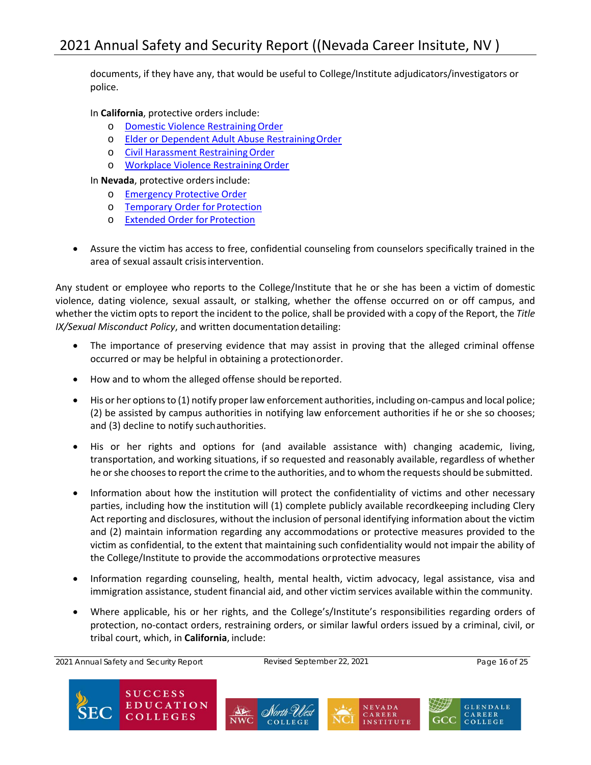documents, if they have any, that would be useful to College/Institute adjudicators/investigators or police.

In **California**, protective orders include:

- o [Domestic Violence RestrainingOrder](http://www.courts.ca.gov/1260.htm#domestic)
- o [Elder or Dependent Adult Abuse RestrainingOrder](http://www.courts.ca.gov/1260.htm#elder)
- o [Civil Harassment RestrainingOrder](http://www.courts.ca.gov/1260.htm#civil%20harassment)
- o [Workplace Violence RestrainingOrder](http://www.courts.ca.gov/1260.htm#workplace)

In **Nevada**, protective ordersinclude:

- o [Emergency Protective](http://www.womenslaw.org/laws_state_type.php?id=550&state_code=NV&content-7823) Order
- o [Temporary Order for](http://www.womenslaw.org/laws_state_type.php?id=550&state_code=NV&content-7823) Protection
- o [Extended Order for](http://www.womenslaw.org/laws_state_type.php?id=550&state_code=NV&content-7823) Protection
- Assure the victim has access to free, confidential counseling from counselors specifically trained in the area of sexual assault crisisintervention.

Any student or employee who reports to the College/Institute that he or she has been a victim of domestic violence, dating violence, sexual assault, or stalking, whether the offense occurred on or off campus, and whether the victim opts to report the incident to the police, shall be provided with a copy of the Report, the *Title IX/Sexual Misconduct Policy*, and written documentation detailing:

- The importance of preserving evidence that may assist in proving that the alleged criminal offense occurred or may be helpful in obtaining a protectionorder.
- How and to whom the alleged offense should be reported.
- His or her options to (1) notify proper law enforcement authorities, including on-campus and local police; (2) be assisted by campus authorities in notifying law enforcement authorities if he or she so chooses; and (3) decline to notify suchauthorities.
- His or her rights and options for (and available assistance with) changing academic, living, transportation, and working situations, if so requested and reasonably available, regardless of whether he or she chooses to report the crime to the authorities, and to whom the requests should be submitted.
- Information about how the institution will protect the confidentiality of victims and other necessary parties, including how the institution will (1) complete publicly available recordkeeping including Clery Act reporting and disclosures, without the inclusion of personal identifying information about the victim and (2) maintain information regarding any accommodations or protective measures provided to the victim as confidential, to the extent that maintaining such confidentiality would not impair the ability of the College/Institute to provide the accommodations orprotective measures
- Information regarding counseling, health, mental health, victim advocacy, legal assistance, visa and immigration assistance, student financial aid, and other victim services available within the community.
- Where applicable, his or her rights, and the College's/Institute's responsibilities regarding orders of protection, no-contact orders, restraining orders, or similar lawful orders issued by a criminal, civil, or tribal court, which, in **California**, include:

2021 Annual Safety and Security Report **Revised September 22, 2021** Page 16 of 25







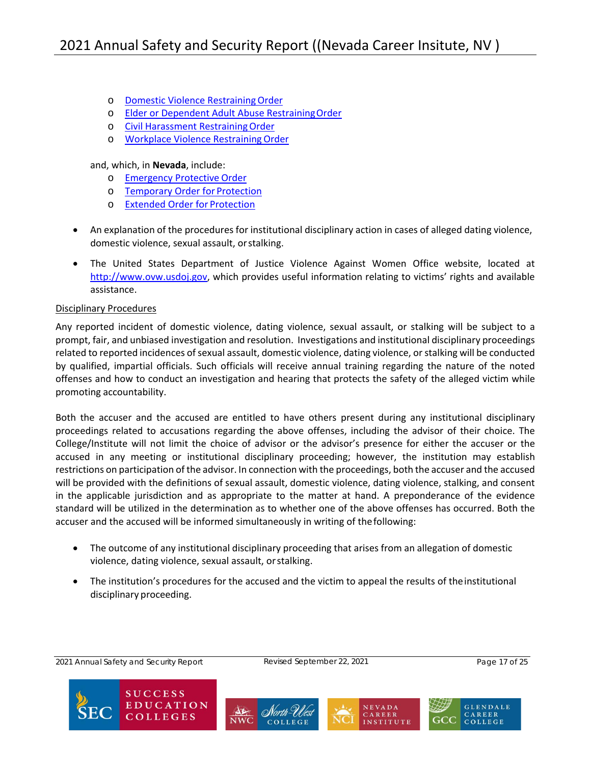- o [Domestic Violence RestrainingOrder](http://www.courts.ca.gov/1260.htm#domestic)
- o [Elder or Dependent Adult Abuse RestrainingOrder](http://www.courts.ca.gov/1260.htm#elder)
- o [Civil Harassment RestrainingOrder](http://www.courts.ca.gov/1260.htm#civil%20harassment)
- o [Workplace Violence RestrainingOrder](http://www.courts.ca.gov/1260.htm#workplace)

and, which, in **Nevada**, include:

- o [Emergency Protective](http://www.womenslaw.org/laws_state_type.php?id=550&state_code=NV&content-7823) Order
- o [Temporary Order for](http://www.womenslaw.org/laws_state_type.php?id=550&state_code=NV&content-7823) Protection
- o [Extended Order for](http://www.womenslaw.org/laws_state_type.php?id=550&state_code=NV&content-7823) Protection
- An explanation of the procedures for institutional disciplinary action in cases of alleged dating violence, domestic violence, sexual assault, orstalking.
- The United States Department of Justice Violence Against Women Office website, located at [http://www.ovw.usdoj.gov,](http://www.ovw.usdoj.gov/) which provides useful information relating to victims' rights and available assistance.

## Disciplinary Procedures

Any reported incident of domestic violence, dating violence, sexual assault, or stalking will be subject to a prompt, fair, and unbiased investigation and resolution. Investigations and institutional disciplinary proceedings related to reported incidences of sexual assault, domestic violence, dating violence, or stalking will be conducted by qualified, impartial officials. Such officials will receive annual training regarding the nature of the noted offenses and how to conduct an investigation and hearing that protects the safety of the alleged victim while promoting accountability.

Both the accuser and the accused are entitled to have others present during any institutional disciplinary proceedings related to accusations regarding the above offenses, including the advisor of their choice. The College/Institute will not limit the choice of advisor or the advisor's presence for either the accuser or the accused in any meeting or institutional disciplinary proceeding; however, the institution may establish restrictions on participation of the advisor. In connection with the proceedings, both the accuser and the accused will be provided with the definitions of sexual assault, domestic violence, dating violence, stalking, and consent in the applicable jurisdiction and as appropriate to the matter at hand. A preponderance of the evidence standard will be utilized in the determination as to whether one of the above offenses has occurred. Both the accuser and the accused will be informed simultaneously in writing of thefollowing:

- The outcome of any institutional disciplinary proceeding that arises from an allegation of domestic violence, dating violence, sexual assault, orstalking.
- The institution's procedures for the accused and the victim to appeal the results of the institutional disciplinary proceeding.

2021 Annual Safety and Security Report **Revised September 22, 2021** Page 17 of 25

**GLENDALE** 

CAREER

 $GCC$ 





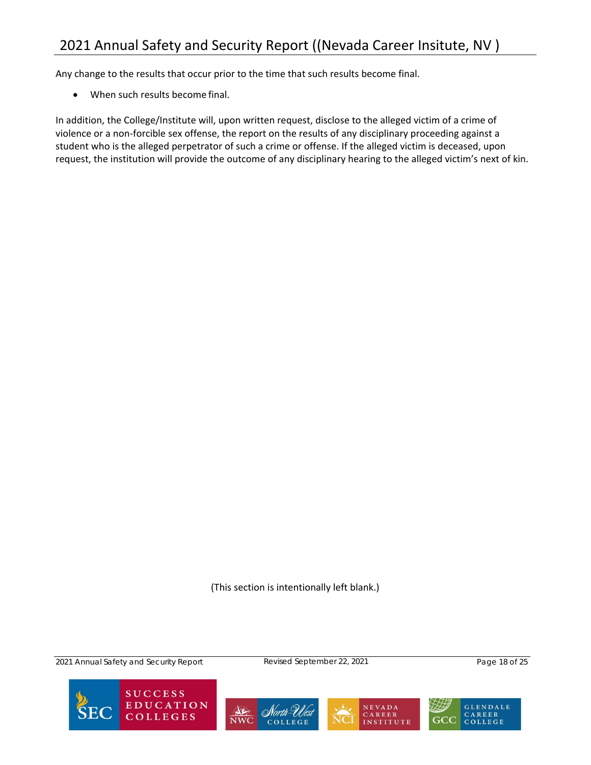Any change to the results that occur prior to the time that such results become final.

• When such results become final.

In addition, the College/Institute will, upon written request, disclose to the alleged victim of a crime of violence or a non-forcible sex offense, the report on the results of any disciplinary proceeding against a student who is the alleged perpetrator of such a crime or offense. If the alleged victim is deceased, upon request, the institution will provide the outcome of any disciplinary hearing to the alleged victim's next of kin.

(This section is intentionally left blank.)

2021 Annual Safety and Security Report **Revised September 22, 2021** Page 18 of 25

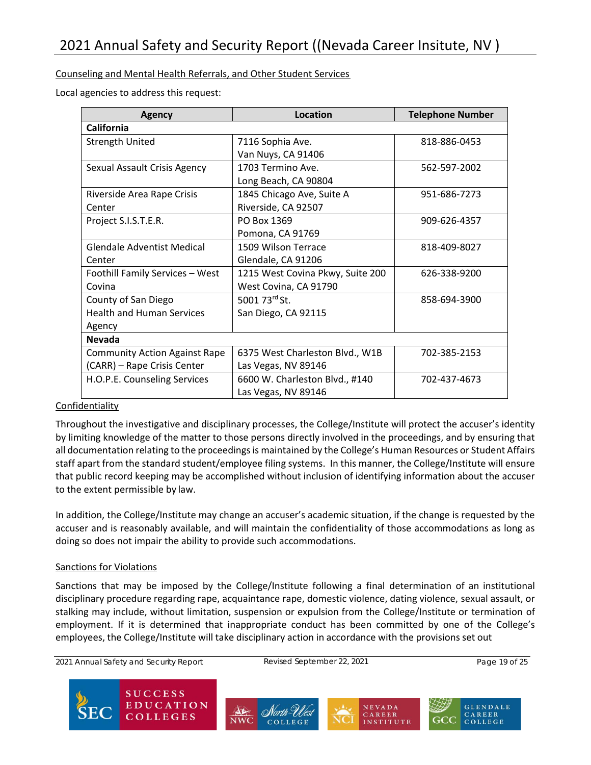## Counseling and Mental Health Referrals, and Other Student Services

Local agencies to address this request:

| <b>Agency</b>                        | Location                         | <b>Telephone Number</b> |  |  |  |  |
|--------------------------------------|----------------------------------|-------------------------|--|--|--|--|
| California                           |                                  |                         |  |  |  |  |
| <b>Strength United</b>               | 7116 Sophia Ave.                 | 818-886-0453            |  |  |  |  |
|                                      | Van Nuys, CA 91406               |                         |  |  |  |  |
| Sexual Assault Crisis Agency         | 1703 Termino Ave.                | 562-597-2002            |  |  |  |  |
|                                      | Long Beach, CA 90804             |                         |  |  |  |  |
| Riverside Area Rape Crisis           | 1845 Chicago Ave, Suite A        | 951-686-7273            |  |  |  |  |
| Center                               | Riverside, CA 92507              |                         |  |  |  |  |
| Project S.I.S.T.E.R.                 | PO Box 1369                      | 909-626-4357            |  |  |  |  |
|                                      | Pomona, CA 91769                 |                         |  |  |  |  |
| Glendale Adventist Medical           | 1509 Wilson Terrace              | 818-409-8027            |  |  |  |  |
| Center                               | Glendale, CA 91206               |                         |  |  |  |  |
| Foothill Family Services - West      | 1215 West Covina Pkwy, Suite 200 | 626-338-9200            |  |  |  |  |
| Covina                               | West Covina, CA 91790            |                         |  |  |  |  |
| County of San Diego                  | 5001 73rd St.                    | 858-694-3900            |  |  |  |  |
| <b>Health and Human Services</b>     | San Diego, CA 92115              |                         |  |  |  |  |
| Agency                               |                                  |                         |  |  |  |  |
| <b>Nevada</b>                        |                                  |                         |  |  |  |  |
| <b>Community Action Against Rape</b> | 6375 West Charleston Blvd., W1B  | 702-385-2153            |  |  |  |  |
| (CARR) - Rape Crisis Center          | Las Vegas, NV 89146              |                         |  |  |  |  |
| H.O.P.E. Counseling Services         | 6600 W. Charleston Blvd., #140   | 702-437-4673            |  |  |  |  |
|                                      | Las Vegas, NV 89146              |                         |  |  |  |  |

### Confidentiality

Throughout the investigative and disciplinary processes, the College/Institute will protect the accuser's identity by limiting knowledge of the matter to those persons directly involved in the proceedings, and by ensuring that all documentation relating to the proceedingsis maintained by the College's Human Resources or Student Affairs staff apart from the standard student/employee filing systems. In this manner, the College/Institute will ensure that public record keeping may be accomplished without inclusion of identifying information about the accuser to the extent permissible by law.

In addition, the College/Institute may change an accuser's academic situation, if the change is requested by the accuser and is reasonably available, and will maintain the confidentiality of those accommodations as long as doing so does not impair the ability to provide such accommodations.

### Sanctions for Violations

Sanctions that may be imposed by the College/Institute following a final determination of an institutional disciplinary procedure regarding rape, acquaintance rape, domestic violence, dating violence, sexual assault, or stalking may include, without limitation, suspension or expulsion from the College/Institute or termination of employment. If it is determined that inappropriate conduct has been committed by one of the College's employees, the College/Institute will take disciplinary action in accordance with the provisions set out

2021 Annual Safety and Security Report **Revised September 22, 2021** Page 19 of 25

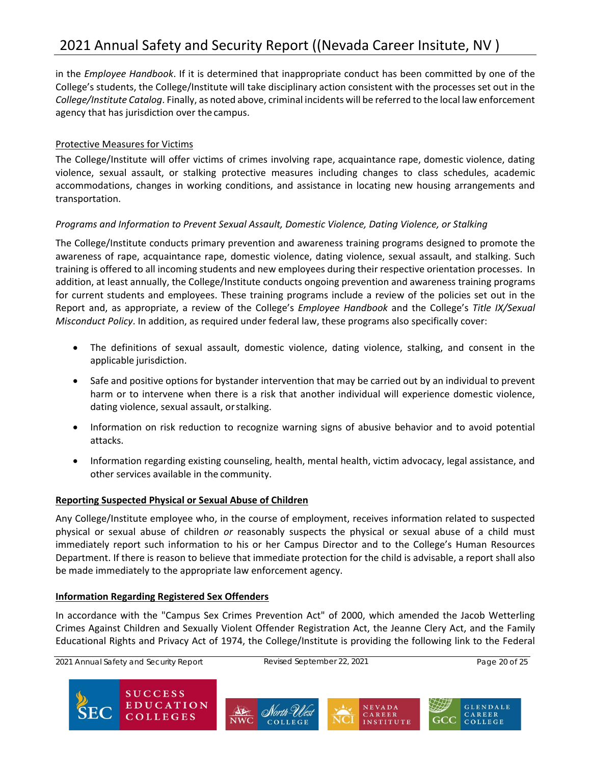in the *Employee Handbook*. If it is determined that inappropriate conduct has been committed by one of the College's students, the College/Institute will take disciplinary action consistent with the processes set out in the *College/Institute Catalog*. Finally, as noted above, criminal incidents will be referred to the local law enforcement agency that has jurisdiction over the campus.

### Protective Measures for Victims

The College/Institute will offer victims of crimes involving rape, acquaintance rape, domestic violence, dating violence, sexual assault, or stalking protective measures including changes to class schedules, academic accommodations, changes in working conditions, and assistance in locating new housing arrangements and transportation.

## *Programs and Information to Prevent Sexual Assault, Domestic Violence, Dating Violence, or Stalking*

The College/Institute conducts primary prevention and awareness training programs designed to promote the awareness of rape, acquaintance rape, domestic violence, dating violence, sexual assault, and stalking. Such training is offered to all incoming students and new employees during their respective orientation processes. In addition, at least annually, the College/Institute conducts ongoing prevention and awareness training programs for current students and employees. These training programs include a review of the policies set out in the Report and, as appropriate, a review of the College's *Employee Handbook* and the College's *Title IX/Sexual Misconduct Policy*. In addition, as required under federal law, these programs also specifically cover:

- The definitions of sexual assault, domestic violence, dating violence, stalking, and consent in the applicable jurisdiction.
- Safe and positive options for bystander intervention that may be carried out by an individual to prevent harm or to intervene when there is a risk that another individual will experience domestic violence, dating violence, sexual assault, orstalking.
- Information on risk reduction to recognize warning signs of abusive behavior and to avoid potential attacks.
- Information regarding existing counseling, health, mental health, victim advocacy, legal assistance, and other services available in the community.

### **Reporting Suspected Physical or Sexual Abuse of Children**

Any College/Institute employee who, in the course of employment, receives information related to suspected physical or sexual abuse of children *or* reasonably suspects the physical or sexual abuse of a child must immediately report such information to his or her Campus Director and to the College's Human Resources Department. If there is reason to believe that immediate protection for the child is advisable, a report shall also be made immediately to the appropriate law enforcement agency.

### **Information Regarding Registered Sex Offenders**

In accordance with the "Campus Sex Crimes Prevention Act" of 2000, which amended the Jacob Wetterling Crimes Against Children and Sexually Violent Offender Registration Act, the Jeanne Clery Act, and the Family Educational Rights and Privacy Act of 1974, the College/Institute is providing the following link to the Federal

2021 Annual Safety and Security Report Revised September 22, 2021 Page 20 of 25





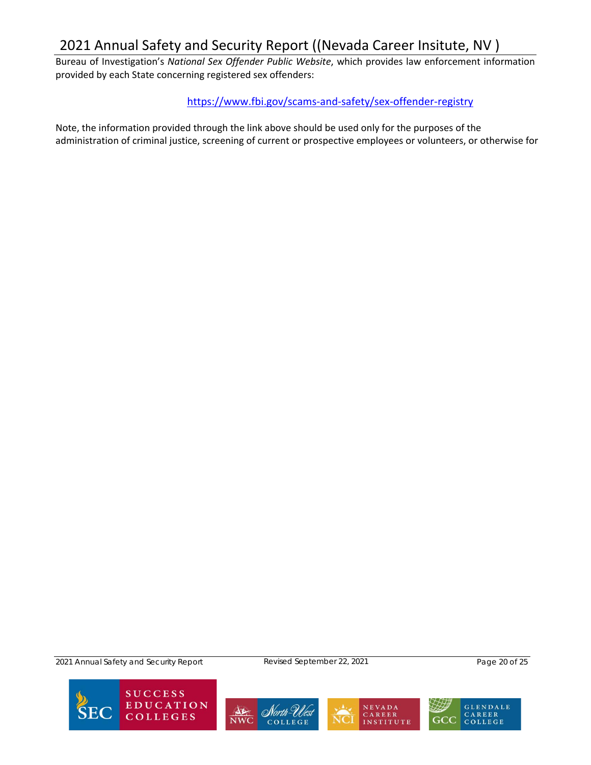Bureau of Investigation's *National Sex Offender Public Website*, which provides law enforcement information provided by each State concerning registered sex offenders:

<https://www.fbi.gov/scams-and-safety/sex-offender-registry>

Note, the information provided through the link above should be used only for the purposes of the administration of criminal justice, screening of current or prospective employees or volunteers, or otherwise for

2021 Annual Safety and Security Report **Revised September 22, 2021** Page 20 of 25

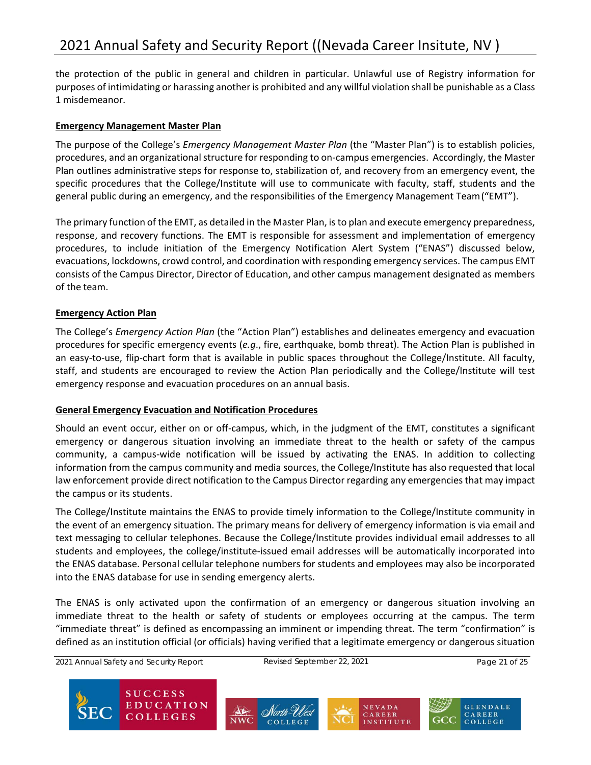the protection of the public in general and children in particular. Unlawful use of Registry information for purposes of intimidating or harassing another is prohibited and any willful violation shall be punishable as a Class 1 misdemeanor.

## **Emergency Management Master Plan**

The purpose of the College's *Emergency Management Master Plan* (the "Master Plan") is to establish policies, procedures, and an organizational structure for responding to on-campus emergencies. Accordingly, the Master Plan outlines administrative steps for response to, stabilization of, and recovery from an emergency event, the specific procedures that the College/Institute will use to communicate with faculty, staff, students and the general public during an emergency, and the responsibilities of the Emergency Management Team("EMT").

The primary function of the EMT, as detailed in the Master Plan, isto plan and execute emergency preparedness, response, and recovery functions. The EMT is responsible for assessment and implementation of emergency procedures, to include initiation of the Emergency Notification Alert System ("ENAS") discussed below, evacuations, lockdowns, crowd control, and coordination with responding emergency services. The campus EMT consists of the Campus Director, Director of Education, and other campus management designated as members of the team.

## **Emergency Action Plan**

The College's *Emergency Action Plan* (the "Action Plan") establishes and delineates emergency and evacuation procedures for specific emergency events (*e.g*., fire, earthquake, bomb threat). The Action Plan is published in an easy-to-use, flip-chart form that is available in public spaces throughout the College/Institute. All faculty, staff, and students are encouraged to review the Action Plan periodically and the College/Institute will test emergency response and evacuation procedures on an annual basis.

### **General Emergency Evacuation and Notification Procedures**

Should an event occur, either on or off-campus, which, in the judgment of the EMT, constitutes a significant emergency or dangerous situation involving an immediate threat to the health or safety of the campus community, a campus-wide notification will be issued by activating the ENAS. In addition to collecting information from the campus community and media sources, the College/Institute has also requested that local law enforcement provide direct notification to the Campus Director regarding any emergencies that may impact the campus or its students.

The College/Institute maintains the ENAS to provide timely information to the College/Institute community in the event of an emergency situation. The primary means for delivery of emergency information is via email and text messaging to cellular telephones. Because the College/Institute provides individual email addresses to all students and employees, the college/institute-issued email addresses will be automatically incorporated into the ENAS database. Personal cellular telephone numbers for students and employees may also be incorporated into the ENAS database for use in sending emergency alerts.

The ENAS is only activated upon the confirmation of an emergency or dangerous situation involving an immediate threat to the health or safety of students or employees occurring at the campus. The term "immediate threat" is defined as encompassing an imminent or impending threat. The term "confirmation" is defined as an institution official (or officials) having verified that a legitimate emergency or dangerous situation

2021 Annual Safety and Security Report **Revised September 22, 2021** Page 21 of 25





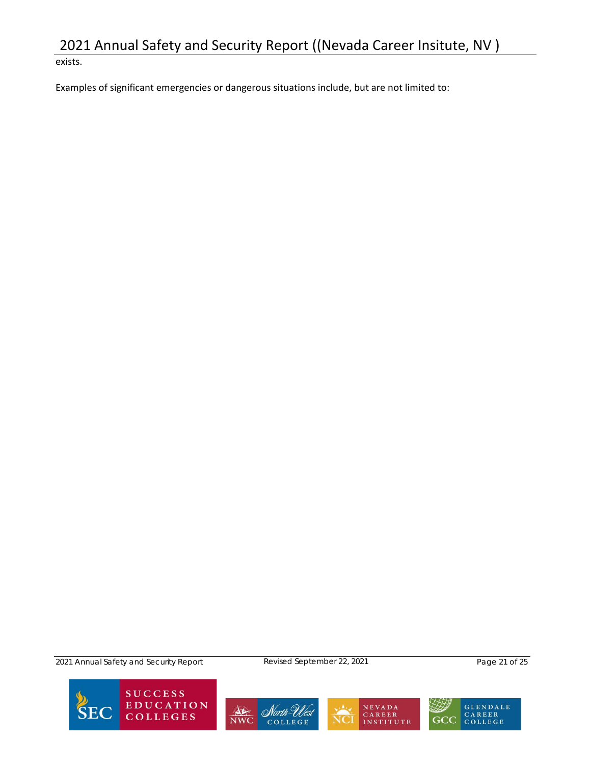exists.

Examples of significant emergencies or dangerous situations include, but are not limited to:

2021 Annual Safety and Security Report **Revised September 22, 2021** Page 21 of 25

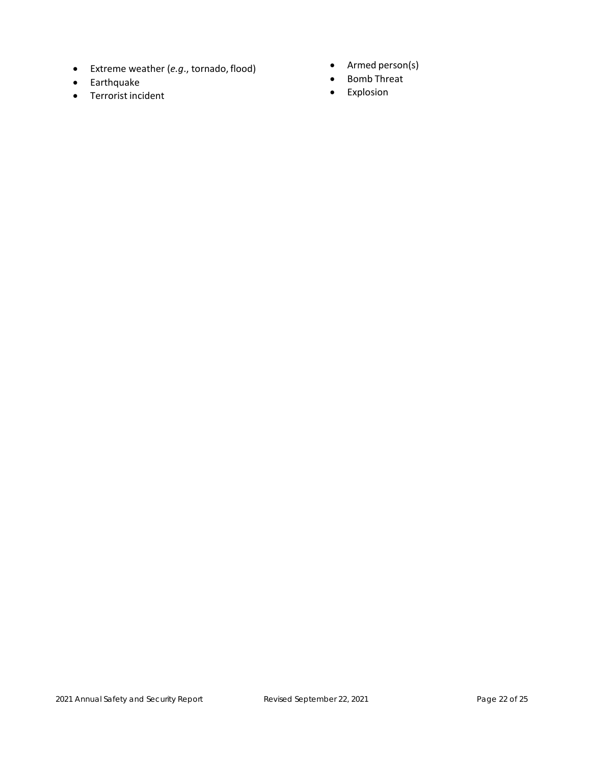- Extreme weather (*e.g*., tornado, flood)
- Earthquake
- Terrorist incident
- Armed person(s)
- Bomb Threat
- Explosion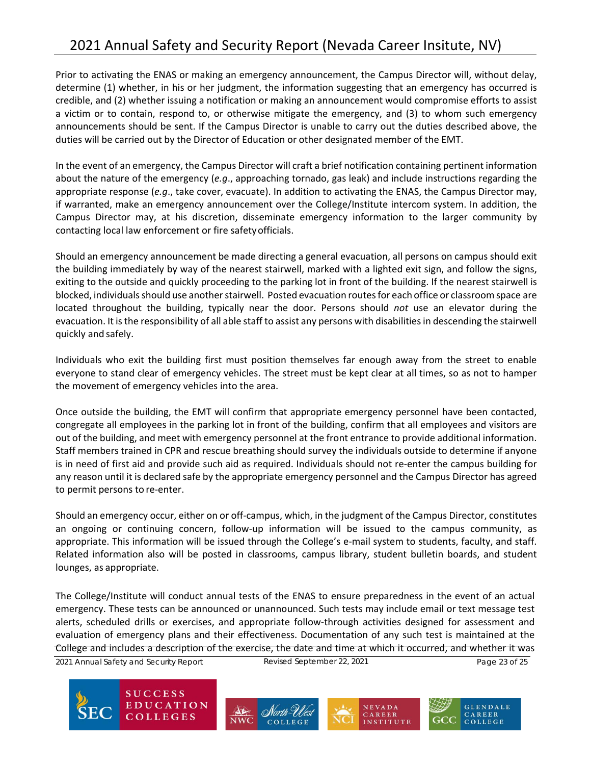Prior to activating the ENAS or making an emergency announcement, the Campus Director will, without delay, determine (1) whether, in his or her judgment, the information suggesting that an emergency has occurred is credible, and (2) whether issuing a notification or making an announcement would compromise efforts to assist a victim or to contain, respond to, or otherwise mitigate the emergency, and (3) to whom such emergency announcements should be sent. If the Campus Director is unable to carry out the duties described above, the duties will be carried out by the Director of Education or other designated member of the EMT.

In the event of an emergency, the Campus Director will craft a brief notification containing pertinent information about the nature of the emergency (*e.g*., approaching tornado, gas leak) and include instructions regarding the appropriate response (*e.g*., take cover, evacuate). In addition to activating the ENAS, the Campus Director may, if warranted, make an emergency announcement over the College/Institute intercom system. In addition, the Campus Director may, at his discretion, disseminate emergency information to the larger community by contacting local law enforcement or fire safetyofficials.

Should an emergency announcement be made directing a general evacuation, all persons on campus should exit the building immediately by way of the nearest stairwell, marked with a lighted exit sign, and follow the signs, exiting to the outside and quickly proceeding to the parking lot in front of the building. If the nearest stairwell is blocked, individuals should use another stairwell. Posted evacuation routes for each office or classroom space are located throughout the building, typically near the door. Persons should *not* use an elevator during the evacuation. It is the responsibility of all able staff to assist any persons with disabilities in descending the stairwell quickly and safely.

Individuals who exit the building first must position themselves far enough away from the street to enable everyone to stand clear of emergency vehicles. The street must be kept clear at all times, so as not to hamper the movement of emergency vehicles into the area.

Once outside the building, the EMT will confirm that appropriate emergency personnel have been contacted, congregate all employees in the parking lot in front of the building, confirm that all employees and visitors are out of the building, and meet with emergency personnel at the front entrance to provide additional information. Staff members trained in CPR and rescue breathing should survey the individuals outside to determine if anyone is in need of first aid and provide such aid as required. Individuals should not re-enter the campus building for any reason until it is declared safe by the appropriate emergency personnel and the Campus Director has agreed to permit persons to re-enter.

Should an emergency occur, either on or off-campus, which, in the judgment of the Campus Director, constitutes an ongoing or continuing concern, follow-up information will be issued to the campus community, as appropriate. This information will be issued through the College's e-mail system to students, faculty, and staff. Related information also will be posted in classrooms, campus library, student bulletin boards, and student lounges, as appropriate.

The College/Institute will conduct annual tests of the ENAS to ensure preparedness in the event of an actual emergency. These tests can be announced or unannounced. Such tests may include email or text message test alerts, scheduled drills or exercises, and appropriate follow-through activities designed for assessment and evaluation of emergency plans and their effectiveness. Documentation of any such test is maintained at the College and includes a description of the exercise, the date and time at which it occurred, and whether it was

2021 Annual Safety and Security Report Revised September 22, 2021 Page 23 of 25

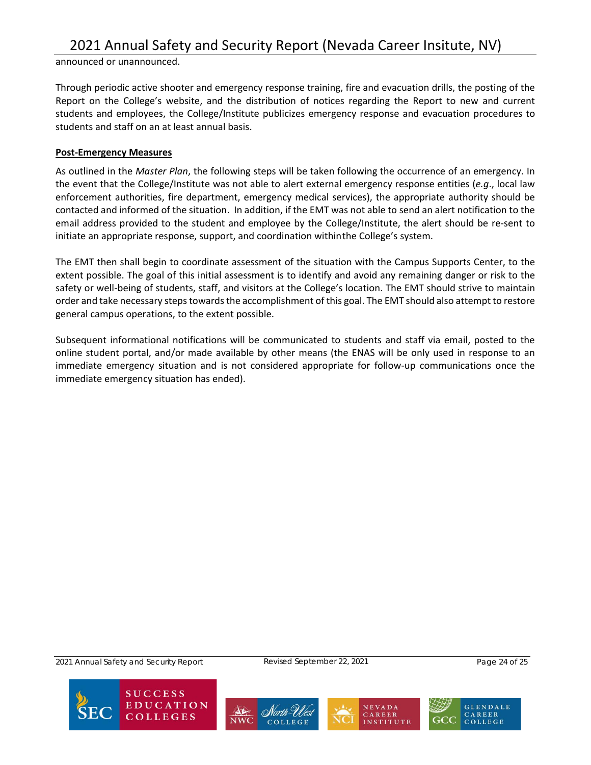announced or unannounced.

Through periodic active shooter and emergency response training, fire and evacuation drills, the posting of the Report on the College's website, and the distribution of notices regarding the Report to new and current students and employees, the College/Institute publicizes emergency response and evacuation procedures to students and staff on an at least annual basis.

#### **Post-Emergency Measures**

As outlined in the *Master Plan*, the following steps will be taken following the occurrence of an emergency. In the event that the College/Institute was not able to alert external emergency response entities (*e.g*., local law enforcement authorities, fire department, emergency medical services), the appropriate authority should be contacted and informed of the situation. In addition, if the EMT was not able to send an alert notification to the email address provided to the student and employee by the College/Institute, the alert should be re-sent to initiate an appropriate response, support, and coordination withinthe College's system.

The EMT then shall begin to coordinate assessment of the situation with the Campus Supports Center, to the extent possible. The goal of this initial assessment is to identify and avoid any remaining danger or risk to the safety or well-being of students, staff, and visitors at the College's location. The EMT should strive to maintain order and take necessary steps towards the accomplishment of this goal. The EMT should also attempt to restore general campus operations, to the extent possible.

Subsequent informational notifications will be communicated to students and staff via email, posted to the online student portal, and/or made available by other means (the ENAS will be only used in response to an immediate emergency situation and is not considered appropriate for follow-up communications once the immediate emergency situation has ended).

2021 Annual Safety and Security Report **Revised September 22, 2021** Page 24 of 25

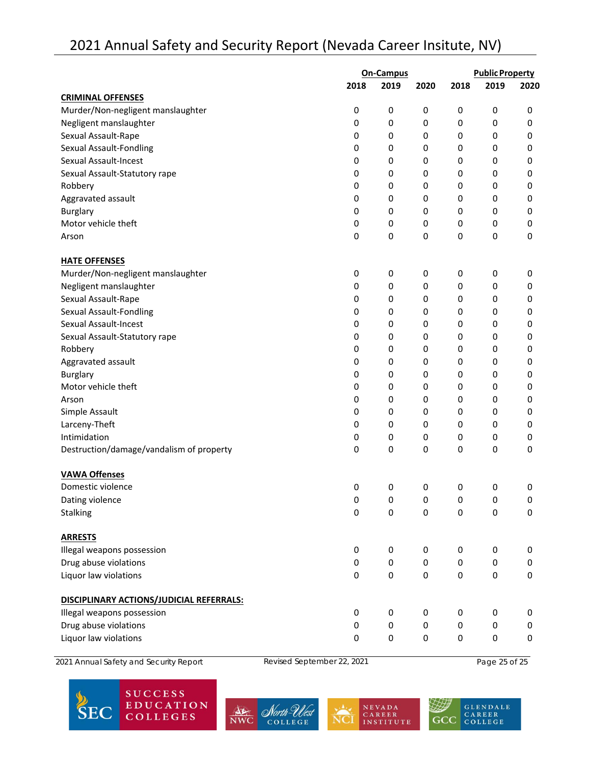|                                          | <b>On-Campus</b> |           |           | <b>Public Property</b> |           |           |  |
|------------------------------------------|------------------|-----------|-----------|------------------------|-----------|-----------|--|
|                                          | 2018             | 2019      | 2020      | 2018                   | 2019      | 2020      |  |
| <b>CRIMINAL OFFENSES</b>                 |                  |           |           |                        |           |           |  |
| Murder/Non-negligent manslaughter        | 0                | 0         | 0         | 0                      | 0         | 0         |  |
| Negligent manslaughter                   | 0                | 0         | 0         | 0                      | 0         | 0         |  |
| Sexual Assault-Rape                      | 0                | 0         | 0         | 0                      | 0         | 0         |  |
| Sexual Assault-Fondling                  | 0                | 0         | 0         | 0                      | 0         | 0         |  |
| Sexual Assault-Incest                    | 0                | 0         | 0         | 0                      | 0         | 0         |  |
| Sexual Assault-Statutory rape            | 0                | 0         | 0         | 0                      | 0         | 0         |  |
| Robbery                                  | 0                | 0         | 0         | 0                      | 0         | 0         |  |
| Aggravated assault                       | 0                | 0         | 0         | 0                      | 0         | 0         |  |
| <b>Burglary</b>                          | 0                | 0         | 0         | 0                      | 0         | 0         |  |
| Motor vehicle theft                      | 0                | 0         | 0         | 0                      | 0         | 0         |  |
| Arson                                    | 0                | 0         | 0         | 0                      | 0         | 0         |  |
| <b>HATE OFFENSES</b>                     |                  |           |           |                        |           |           |  |
| Murder/Non-negligent manslaughter        | 0                | 0         | 0         | 0                      | 0         | 0         |  |
| Negligent manslaughter                   | 0                | 0         | 0         | 0                      | 0         | 0         |  |
| Sexual Assault-Rape                      | 0                | 0         | 0         | 0                      | 0         | 0         |  |
| Sexual Assault-Fondling                  | 0                | 0         | 0         | 0                      | 0         | 0         |  |
| Sexual Assault-Incest                    | 0                | 0         | 0         | 0                      | 0         | 0         |  |
| Sexual Assault-Statutory rape            | 0                | 0         | 0         | 0                      | 0         | 0         |  |
| Robbery                                  | 0                | 0         | 0         | 0                      | 0         | 0         |  |
| Aggravated assault                       | 0                | 0         | 0         | 0                      | 0         | 0         |  |
| Burglary                                 | 0                | 0         | 0         | 0                      | 0         | 0         |  |
| Motor vehicle theft                      | 0                | 0         | 0         | 0                      | 0         | 0         |  |
| Arson                                    | 0                | 0         | 0         | 0                      | 0         | 0         |  |
| Simple Assault                           | 0                | 0         | 0         | 0                      | 0         | 0         |  |
| Larceny-Theft                            | 0                | 0         | 0         | 0                      | 0         | 0         |  |
| Intimidation                             | 0                | 0         | 0         | 0                      | 0         | 0         |  |
| Destruction/damage/vandalism of property | 0                | 0         | 0         | 0                      | 0         | 0         |  |
| <b>VAWA Offenses</b>                     |                  |           |           |                        |           |           |  |
| Domestic violence                        | 0                | 0         | 0         | 0                      | 0         | 0         |  |
| Dating violence                          | 0                | 0         | 0         | 0                      | 0         | 0         |  |
| Stalking                                 | $\mathsf 0$      | $\pmb{0}$ | 0         | $\pmb{0}$              | $\pmb{0}$ | $\pmb{0}$ |  |
| <b>ARRESTS</b>                           |                  |           |           |                        |           |           |  |
| Illegal weapons possession               | 0                | 0         | 0         | 0                      | 0         | 0         |  |
| Drug abuse violations                    | 0                | 0         | $\pmb{0}$ | 0                      | 0         | 0         |  |
| Liquor law violations                    | 0                | 0         | $\pmb{0}$ | $\pmb{0}$              | 0         | 0         |  |
| DISCIPLINARY ACTIONS/JUDICIAL REFERRALS: |                  |           |           |                        |           |           |  |
| Illegal weapons possession               | 0                | 0         | 0         | 0                      | 0         | 0         |  |
| Drug abuse violations                    | 0                | 0         | 0         | $\pmb{0}$              | 0         | 0         |  |
| Liquor law violations                    | 0                | $\pmb{0}$ | 0         | 0                      | 0         | 0         |  |

2021 Annual Safety and Security Report Revised September 22, 2021 **Page 25 of 25**